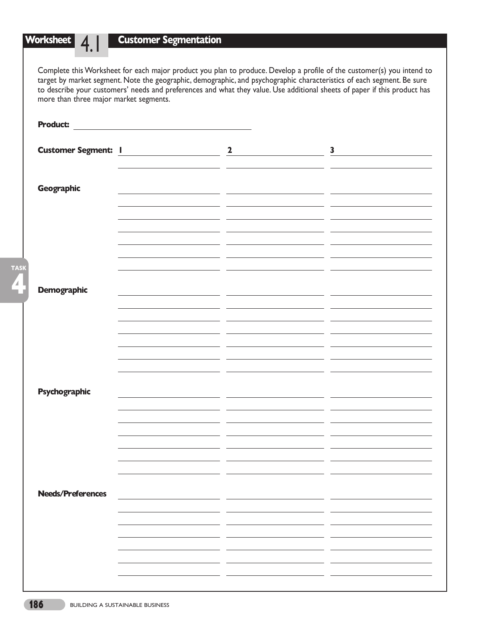#### **Worksheet** 4.1 **Customer Segmentation**

Complete this Worksheet for each major product you plan to produce. Develop a profile of the customer(s) you intend to target by market segment. Note the geographic, demographic, and psychographic characteristics of each segment. Be sure to describe your customers' needs and preferences and what they value. Use additional sheets of paper if this product has more than three major market segments.

| <b>Product:</b>            |                       |                         |                         |
|----------------------------|-----------------------|-------------------------|-------------------------|
|                            |                       |                         |                         |
|                            |                       |                         |                         |
| <b>Customer Segment: 1</b> | <u> Alban Maria (</u> | $\overline{\mathbf{2}}$ | $\overline{\mathbf{3}}$ |
|                            |                       |                         |                         |
|                            |                       |                         |                         |
|                            |                       |                         |                         |
| Geographic                 |                       |                         |                         |
|                            |                       |                         |                         |
|                            |                       |                         |                         |
|                            |                       |                         |                         |
|                            |                       |                         |                         |
|                            |                       |                         |                         |
|                            |                       |                         |                         |
|                            |                       |                         |                         |
|                            |                       |                         |                         |
|                            |                       |                         |                         |
|                            |                       |                         |                         |
|                            |                       |                         |                         |
| <b>Demographic</b>         |                       |                         |                         |
|                            |                       |                         |                         |
|                            |                       |                         |                         |
|                            |                       |                         |                         |
|                            |                       |                         |                         |
|                            |                       |                         |                         |
|                            |                       |                         |                         |
|                            |                       |                         |                         |
|                            |                       |                         |                         |
|                            |                       |                         |                         |
|                            |                       |                         |                         |
| Psychographic              |                       |                         |                         |
|                            |                       |                         |                         |
|                            |                       |                         |                         |
|                            |                       |                         |                         |
|                            |                       |                         |                         |
|                            |                       |                         |                         |
|                            |                       |                         |                         |
|                            |                       |                         |                         |
|                            |                       |                         |                         |
|                            |                       |                         |                         |
|                            |                       |                         |                         |
|                            |                       |                         |                         |
| <b>Needs/Preferences</b>   |                       |                         |                         |
|                            |                       |                         |                         |
|                            |                       |                         |                         |
|                            |                       |                         |                         |
|                            |                       |                         |                         |
|                            |                       |                         |                         |
|                            |                       |                         |                         |
|                            |                       |                         |                         |
|                            |                       |                         |                         |
|                            |                       |                         |                         |
|                            |                       |                         |                         |
|                            |                       |                         |                         |

**4**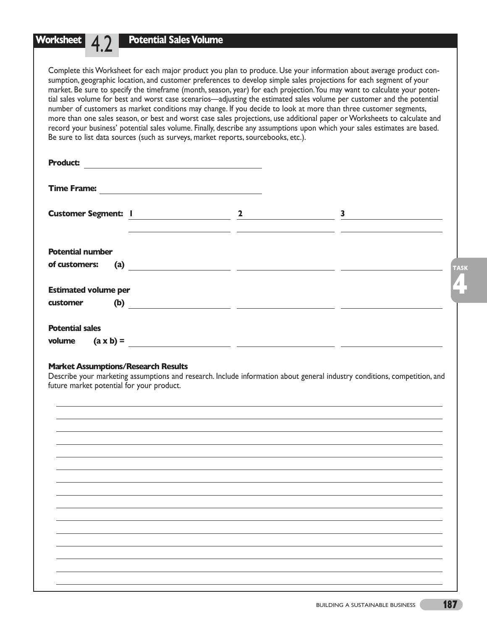**Worksheet** 4.2 Complete this Worksheet for each major product you plan to produce. Use your information about average product consumption, geographic location, and customer preferences to develop simple sales projections for each segment of your market. Be sure to specify the timeframe (month, season, year) for each projection.You may want to calculate your potential sales volume for best and worst case scenarios—adjusting the estimated sales volume per customer and the potential

**Potential Sales Volume**

number of customers as market conditions may change. If you decide to look at more than three customer segments, more than one sales season, or best and worst case sales projections, use additional paper or Worksheets to calculate and record your business' potential sales volume. Finally, describe any assumptions upon which your sales estimates are based. Be sure to list data sources (such as surveys, market reports, sourcebooks, etc.).

| <b>Product:</b>                                                                                                                                                                                                                                                                                                                                                                                  |                                                                           |   |
|--------------------------------------------------------------------------------------------------------------------------------------------------------------------------------------------------------------------------------------------------------------------------------------------------------------------------------------------------------------------------------------------------|---------------------------------------------------------------------------|---|
| <b>Time Frame:</b><br><u> 1989 - Johann Barn, mars ann an t-Amhain Aonaich an t-Aonaich an t-Aonaich ann an t-Aonaich ann an t-Aonaich</u>                                                                                                                                                                                                                                                       |                                                                           |   |
|                                                                                                                                                                                                                                                                                                                                                                                                  | 2 $\qquad \qquad$                                                         | 3 |
|                                                                                                                                                                                                                                                                                                                                                                                                  | <u> 1990 - Jan James Sand, Amerikaansk politiker († 1900)</u>             |   |
| <b>Potential number</b>                                                                                                                                                                                                                                                                                                                                                                          |                                                                           |   |
| of customers:<br>(a) $\qquad \qquad \qquad$ $\qquad \qquad$ $\qquad \qquad$ $\qquad \qquad$ $\qquad \qquad$ $\qquad \qquad$ $\qquad \qquad$ $\qquad \qquad$ $\qquad \qquad$ $\qquad \qquad$ $\qquad \qquad$ $\qquad \qquad$ $\qquad \qquad$ $\qquad \qquad$ $\qquad$ $\qquad \qquad$ $\qquad$ $\qquad$ $\qquad$ $\qquad$ $\qquad$ $\qquad$ $\qquad$ $\qquad$ $\qquad$ $\qquad$ $\qquad$ $\qquad$ |                                                                           |   |
| <b>Estimated volume per</b>                                                                                                                                                                                                                                                                                                                                                                      |                                                                           |   |
| (b) $\qquad \qquad \qquad$<br>customer                                                                                                                                                                                                                                                                                                                                                           |                                                                           |   |
| <b>Potential sales</b>                                                                                                                                                                                                                                                                                                                                                                           |                                                                           |   |
| volume                                                                                                                                                                                                                                                                                                                                                                                           |                                                                           |   |
| $(a \times b) =$                                                                                                                                                                                                                                                                                                                                                                                 | <u> 1999 - Jan James James, president film eta politikaria (h. 1905).</u> |   |

### **Market Assumptions/Research Results**

Describe your marketing assumptions and research. Include information about general industry conditions, competition, and future market potential for your product.

**4**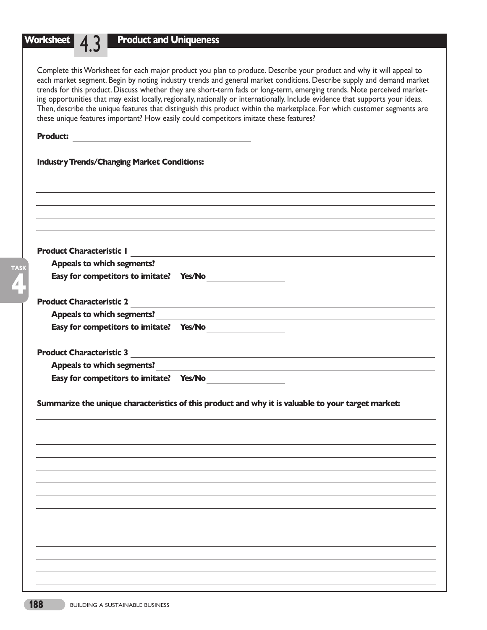**Product and Uniqueness**

Complete this Worksheet for each major product you plan to produce. Describe your product and why it will appeal to each market segment. Begin by noting industry trends and general market conditions. Describe supply and demand market trends for this product. Discuss whether they are short-term fads or long-term, emerging trends. Note perceived marketing opportunities that may exist locally, regionally, nationally or internationally. Include evidence that supports your ideas. Then, describe the unique features that distinguish this product within the marketplace. For which customer segments are these unique features important? How easily could competitors imitate these features?

### **Product:**

**4**

| <b>Industry Trends/Changing Market Conditions:</b> |                                                                                                                       |
|----------------------------------------------------|-----------------------------------------------------------------------------------------------------------------------|
|                                                    |                                                                                                                       |
|                                                    |                                                                                                                       |
|                                                    |                                                                                                                       |
|                                                    |                                                                                                                       |
|                                                    |                                                                                                                       |
| <b>Product Characteristic I</b>                    | and the control of the control of the control of the control of the control of the control of the control of the      |
| <b>Appeals to which segments?</b>                  | and the control of the control of the control of the control of the control of the control of the control of the      |
| Easy for competitors to imitate? Yes/No            |                                                                                                                       |
| <b>Product Characteristic 2</b>                    |                                                                                                                       |
| <b>Appeals to which segments?</b>                  | <u> 1989 - Johann Stoff, fransk politik (d. 1989)</u>                                                                 |
|                                                    | <u> 1980 - Johann Barbara, martin amerikan basal dan berasal dalam basal dalam basal dalam basal dalam basal dala</u> |
|                                                    |                                                                                                                       |
|                                                    |                                                                                                                       |
|                                                    |                                                                                                                       |
|                                                    | <b>Product Characteristic 3</b>                                                                                       |
| Easy for competitors to imitate? Yes/No            | Appeals to which segments?<br><u> and</u> <b>Appeals</b> to which segments?                                           |
|                                                    | Summarize the unique characteristics of this product and why it is valuable to your target market:                    |
|                                                    |                                                                                                                       |
|                                                    |                                                                                                                       |
|                                                    |                                                                                                                       |
|                                                    |                                                                                                                       |
|                                                    |                                                                                                                       |
|                                                    |                                                                                                                       |
|                                                    |                                                                                                                       |
|                                                    |                                                                                                                       |
|                                                    |                                                                                                                       |
|                                                    |                                                                                                                       |
|                                                    |                                                                                                                       |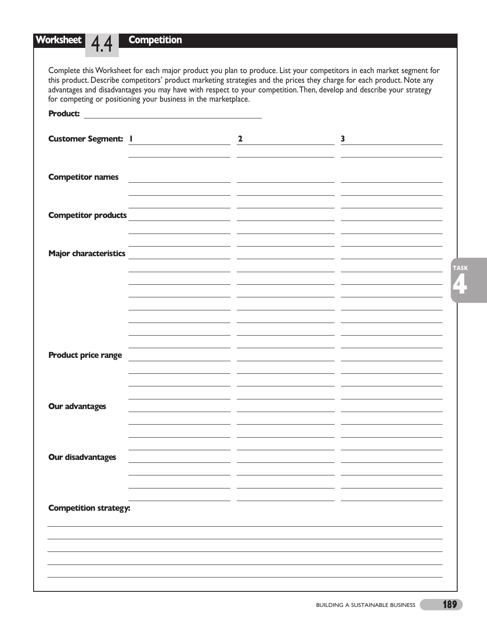## **Competition**

**Worksheet** 4.4

Complete this Worksheet for each major product you plan to produce. List your competitors in each market segment for this product. Describe competitors' product marketing strategies and the prices they charge for each product. Note any advantages and disadvantages you may have with respect to your competition.Then, develop and describe your strategy for competing or positioning your business in the marketplace.

| <b>Product:</b>              |                                                     |                         |              |
|------------------------------|-----------------------------------------------------|-------------------------|--------------|
|                              | Customer Segment: 1                                 | $\overline{\mathbf{2}}$ | $\mathbf{3}$ |
| <b>Competitor names</b>      | <u> 1990 - Jan Barbara Barat, politik politik (</u> |                         |              |
| <b>Competitor products</b>   |                                                     |                         |              |
| <b>Major characteristics</b> |                                                     |                         |              |
|                              |                                                     |                         |              |
|                              |                                                     |                         |              |
| <b>Product price range</b>   |                                                     |                         |              |
| <b>Our advantages</b>        |                                                     |                         |              |
|                              |                                                     |                         |              |
| <b>Our disadvantages</b>     |                                                     |                         |              |
| <b>Competition strategy:</b> |                                                     |                         |              |
|                              |                                                     |                         |              |
|                              |                                                     |                         |              |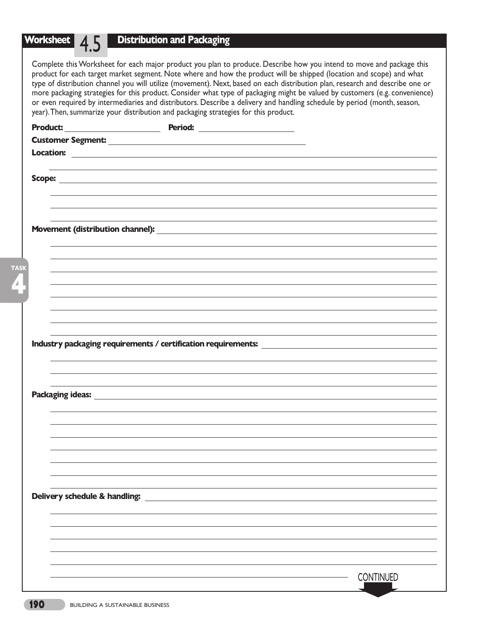# **Worksheet** 4.5 **Distribution and Packaging**

Complete this Worksheet for each major product you plan to produce. Describe how you intend to move and package this product for each target market segment. Note where and how the product will be shipped (location and scope) and what type of distribution channel you will utilize (movement). Next, based on each distribution plan, research and describe one or more packaging strategies for this product. Consider what type of packaging might be valued by customers (e.g. convenience) or even required by intermediaries and distributors. Describe a delivery and handling schedule by period (month, season, year).Then, summarize your distribution and packaging strategies for this product.

| <b>Product:</b>               | Period: ________________________                                                                                                      |                  |
|-------------------------------|---------------------------------------------------------------------------------------------------------------------------------------|------------------|
|                               |                                                                                                                                       |                  |
|                               |                                                                                                                                       |                  |
|                               |                                                                                                                                       |                  |
|                               |                                                                                                                                       |                  |
|                               |                                                                                                                                       |                  |
|                               |                                                                                                                                       |                  |
|                               |                                                                                                                                       |                  |
|                               |                                                                                                                                       |                  |
|                               |                                                                                                                                       |                  |
|                               |                                                                                                                                       |                  |
|                               |                                                                                                                                       |                  |
|                               |                                                                                                                                       |                  |
|                               |                                                                                                                                       |                  |
|                               |                                                                                                                                       |                  |
|                               |                                                                                                                                       |                  |
|                               |                                                                                                                                       |                  |
|                               |                                                                                                                                       |                  |
|                               |                                                                                                                                       |                  |
|                               | Industry packaging requirements / certification requirements:<br><u>Industry</u> packaging requirements / certification requirements: |                  |
|                               |                                                                                                                                       |                  |
|                               |                                                                                                                                       |                  |
|                               |                                                                                                                                       |                  |
|                               |                                                                                                                                       |                  |
|                               |                                                                                                                                       |                  |
|                               |                                                                                                                                       |                  |
|                               |                                                                                                                                       |                  |
|                               |                                                                                                                                       |                  |
|                               |                                                                                                                                       |                  |
|                               |                                                                                                                                       |                  |
|                               |                                                                                                                                       |                  |
|                               |                                                                                                                                       |                  |
|                               |                                                                                                                                       |                  |
|                               |                                                                                                                                       |                  |
|                               |                                                                                                                                       |                  |
| Delivery schedule & handling: |                                                                                                                                       |                  |
|                               |                                                                                                                                       |                  |
|                               |                                                                                                                                       | <b>CONTINUED</b> |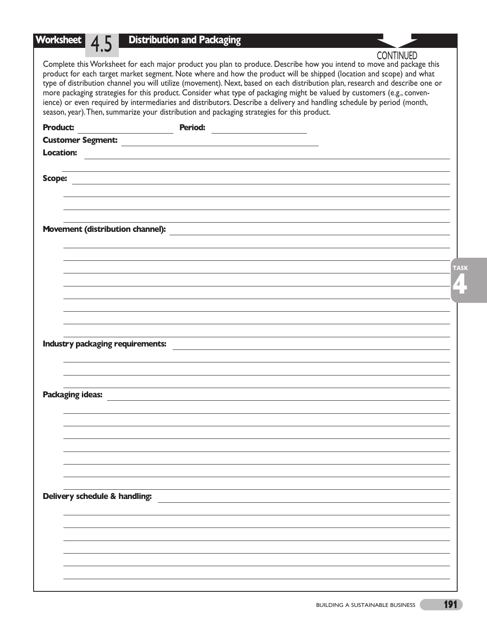# **Worksheet** 4.5 **Distribution and Packaging**

**CONTINUED** 

Complete this Worksheet for each major product you plan to produce. Describe how you intend to move and package this product for each target market segment. Note where and how the product will be shipped (location and scope) and what type of distribution channel you will utilize (movement). Next, based on each distribution plan, research and describe one or more packaging strategies for this product. Consider what type of packaging might be valued by customers (e.g., convenience) or even required by intermediaries and distributors. Describe a delivery and handling schedule by period (month, season, year).Then, summarize your distribution and packaging strategies for this product.

| <b>Product:</b>                  | Period: |             |
|----------------------------------|---------|-------------|
| <b>Customer Segment:</b>         |         |             |
| <b>Location:</b>                 |         |             |
|                                  |         |             |
| <b>Scope:</b>                    |         |             |
|                                  |         |             |
|                                  |         |             |
|                                  |         |             |
| Movement (distribution channel): |         |             |
|                                  |         |             |
|                                  |         |             |
|                                  |         | <b>TASK</b> |
|                                  |         | Z,          |
|                                  |         |             |
|                                  |         |             |
|                                  |         |             |
|                                  |         |             |
| Industry packaging requirements: |         |             |
|                                  |         |             |
|                                  |         |             |
| <b>Packaging ideas:</b>          |         |             |
|                                  |         |             |
|                                  |         |             |
|                                  |         |             |
|                                  |         |             |
|                                  |         |             |
|                                  |         |             |
|                                  |         |             |
| Delivery schedule & handling:    |         |             |
|                                  |         |             |
|                                  |         |             |
|                                  |         |             |
|                                  |         |             |
|                                  |         |             |
|                                  |         |             |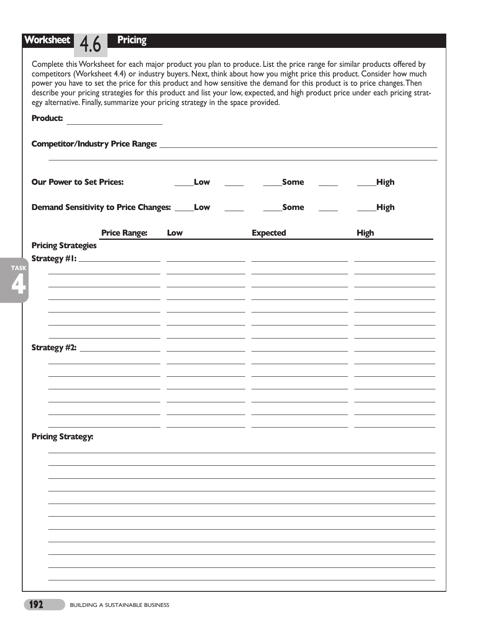# **Worksheet** 4.6 **Pricing**

| <b>Product:</b>                                      |                         |     |                                                                                                                       |             |
|------------------------------------------------------|-------------------------|-----|-----------------------------------------------------------------------------------------------------------------------|-------------|
|                                                      |                         |     | Competitor/Industry Price Range: 2008 2009 2009 2010 2021 2022 2023 2024 2022 2023 2024 2022 2023 2024 2022 20        |             |
| <b>Our Power to Set Prices:</b>                      |                         | Low | Some                                                                                                                  | High        |
| <b>Demand Sensitivity to Price Changes: _____Low</b> |                         |     | <b>Some</b>                                                                                                           | <b>High</b> |
|                                                      | <b>Price Range: Low</b> |     | <b>Expected</b>                                                                                                       | <b>High</b> |
| <b>Pricing Strategies</b>                            |                         |     |                                                                                                                       |             |
|                                                      |                         |     |                                                                                                                       |             |
|                                                      |                         |     |                                                                                                                       |             |
|                                                      |                         |     |                                                                                                                       |             |
|                                                      |                         |     |                                                                                                                       |             |
|                                                      |                         |     | <u> 1989 - Andrea Andrea Andrea Andrea Andrea Andrea Andrea Andrea Andrea Andrea Andrea Andrea Andrea Andrea Andr</u> |             |
|                                                      |                         |     |                                                                                                                       |             |
|                                                      |                         |     |                                                                                                                       |             |
|                                                      |                         |     |                                                                                                                       |             |
|                                                      |                         |     |                                                                                                                       |             |
|                                                      |                         |     |                                                                                                                       |             |
| <b>Pricing Strategy:</b>                             |                         |     |                                                                                                                       |             |
|                                                      |                         |     |                                                                                                                       |             |
|                                                      |                         |     |                                                                                                                       |             |
|                                                      |                         |     |                                                                                                                       |             |
|                                                      |                         |     |                                                                                                                       |             |
|                                                      |                         |     |                                                                                                                       |             |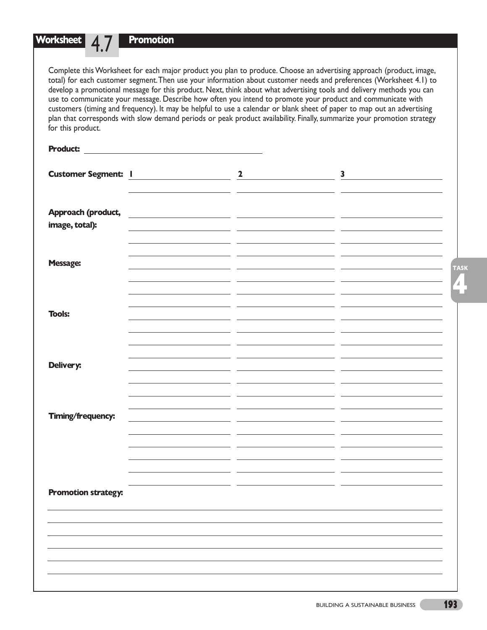| Worksheet<br>for this product.       | <b>Promotion</b><br>Complete this Worksheet for each major product you plan to produce. Choose an advertising approach (product, image,<br>total) for each customer segment. Then use your information about customer needs and preferences (Worksheet 4.1) to<br>develop a promotional message for this product. Next, think about what advertising tools and delivery methods you can<br>use to communicate your message. Describe how often you intend to promote your product and communicate with<br>customers (timing and frequency). It may be helpful to use a calendar or blank sheet of paper to map out an advertising<br>plan that corresponds with slow demand periods or peak product availability. Finally, summarize your promotion strategy |                                                                                                                                                                                                                                    |                  |  |  |  |  |  |
|--------------------------------------|--------------------------------------------------------------------------------------------------------------------------------------------------------------------------------------------------------------------------------------------------------------------------------------------------------------------------------------------------------------------------------------------------------------------------------------------------------------------------------------------------------------------------------------------------------------------------------------------------------------------------------------------------------------------------------------------------------------------------------------------------------------|------------------------------------------------------------------------------------------------------------------------------------------------------------------------------------------------------------------------------------|------------------|--|--|--|--|--|
|                                      |                                                                                                                                                                                                                                                                                                                                                                                                                                                                                                                                                                                                                                                                                                                                                              |                                                                                                                                                                                                                                    |                  |  |  |  |  |  |
|                                      |                                                                                                                                                                                                                                                                                                                                                                                                                                                                                                                                                                                                                                                                                                                                                              | <b>Customer Segment: I</b> and a set of the set of the set of the set of the set of the set of the set of the set of the set of the set of the set of the set of the set of the set of the set of the set of the set of the set of | $3 \quad \qquad$ |  |  |  |  |  |
| Approach (product,<br>image, total): |                                                                                                                                                                                                                                                                                                                                                                                                                                                                                                                                                                                                                                                                                                                                                              | <u> 1990 - Jan James James Jan James James James James James James James James James James James James James Jam</u>                                                                                                               |                  |  |  |  |  |  |
| <b>Message:</b>                      |                                                                                                                                                                                                                                                                                                                                                                                                                                                                                                                                                                                                                                                                                                                                                              |                                                                                                                                                                                                                                    |                  |  |  |  |  |  |
| <b>Tools:</b>                        |                                                                                                                                                                                                                                                                                                                                                                                                                                                                                                                                                                                                                                                                                                                                                              |                                                                                                                                                                                                                                    |                  |  |  |  |  |  |
| Delivery:                            |                                                                                                                                                                                                                                                                                                                                                                                                                                                                                                                                                                                                                                                                                                                                                              |                                                                                                                                                                                                                                    |                  |  |  |  |  |  |

**Timing/frequency:**

**Promotion strategy:**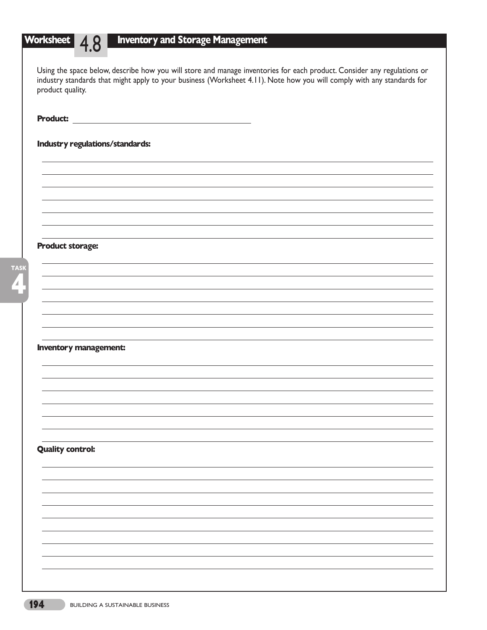|                         | Using the space below, describe how you will store and manage inventories for each product. Consider any regulations or |
|-------------------------|-------------------------------------------------------------------------------------------------------------------------|
|                         | industry standards that might apply to your business (Worksheet 4.11). Note how you will comply with any standards for  |
| product quality.        |                                                                                                                         |
|                         |                                                                                                                         |
|                         |                                                                                                                         |
| <b>Product:</b>         |                                                                                                                         |
|                         |                                                                                                                         |
|                         | Industry regulations/standards:                                                                                         |
|                         |                                                                                                                         |
|                         |                                                                                                                         |
|                         |                                                                                                                         |
|                         |                                                                                                                         |
|                         |                                                                                                                         |
|                         |                                                                                                                         |
|                         |                                                                                                                         |
|                         |                                                                                                                         |
|                         |                                                                                                                         |
| <b>Product storage:</b> |                                                                                                                         |
|                         |                                                                                                                         |
|                         |                                                                                                                         |
|                         |                                                                                                                         |
|                         |                                                                                                                         |
|                         |                                                                                                                         |
|                         |                                                                                                                         |
|                         |                                                                                                                         |
|                         |                                                                                                                         |
|                         |                                                                                                                         |
|                         | <b>Inventory management:</b>                                                                                            |
|                         |                                                                                                                         |
|                         |                                                                                                                         |
|                         |                                                                                                                         |
|                         |                                                                                                                         |
|                         |                                                                                                                         |
|                         |                                                                                                                         |
|                         |                                                                                                                         |
|                         |                                                                                                                         |
|                         |                                                                                                                         |
| <b>Quality control:</b> |                                                                                                                         |
|                         |                                                                                                                         |
|                         |                                                                                                                         |
|                         |                                                                                                                         |
|                         |                                                                                                                         |
|                         |                                                                                                                         |
|                         |                                                                                                                         |
|                         |                                                                                                                         |
|                         |                                                                                                                         |
|                         |                                                                                                                         |
|                         |                                                                                                                         |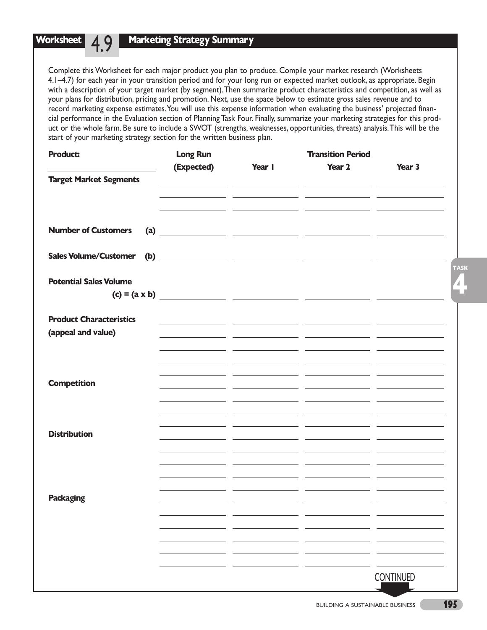#### **Worksheet** 49 **Marketing Strategy Summary**

Complete this Worksheet for each major product you plan to produce. Compile your market research (Worksheets 4.1–4.7) for each year in your transition period and for your long run or expected market outlook, as appropriate. Begin with a description of your target market (by segment).Then summarize product characteristics and competition, as well as your plans for distribution, pricing and promotion. Next, use the space below to estimate gross sales revenue and to record marketing expense estimates.You will use this expense information when evaluating the business' projected financial performance in the Evaluation section of Planning Task Four. Finally, summarize your marketing strategies for this product or the whole farm. Be sure to include a SWOT (strengths, weaknesses, opportunities, threats) analysis.This will be the start of your marketing strategy section for the written business plan.

| <b>Product:</b>                | <b>Long Run</b> |        | <b>Transition Period</b>                                                                                              |                  |
|--------------------------------|-----------------|--------|-----------------------------------------------------------------------------------------------------------------------|------------------|
|                                | (Expected)      | Year I | Year 2                                                                                                                | Year 3           |
| <b>Target Market Segments</b>  |                 |        | <u> 1999 - Jan James Alemania, politikar eta politikar (h. 1908).</u>                                                 |                  |
|                                |                 |        | <u> 1989 - Johann Johann Stoff, deutscher Stoff, der Stoff, der Stoff, der Stoff, der Stoff, der Stoff, der Stoff</u> |                  |
|                                |                 |        |                                                                                                                       |                  |
| <b>Number of Customers</b>     |                 |        |                                                                                                                       |                  |
|                                |                 |        |                                                                                                                       |                  |
| <b>Sales Volume/Customer</b>   |                 |        |                                                                                                                       |                  |
|                                |                 |        |                                                                                                                       | <b>TASK</b>      |
| <b>Potential Sales Volume</b>  |                 |        |                                                                                                                       | 4.               |
|                                |                 |        |                                                                                                                       |                  |
| <b>Product Characteristics</b> |                 |        |                                                                                                                       |                  |
| (appeal and value)             |                 |        | <u> 1990 - Jan James James Barnett, amerikansk politiker (d. 1900)</u>                                                |                  |
|                                |                 |        |                                                                                                                       |                  |
|                                |                 |        |                                                                                                                       |                  |
|                                |                 |        |                                                                                                                       |                  |
| <b>Competition</b>             |                 |        |                                                                                                                       |                  |
|                                |                 |        |                                                                                                                       |                  |
|                                |                 |        |                                                                                                                       |                  |
| <b>Distribution</b>            |                 |        |                                                                                                                       |                  |
|                                |                 |        |                                                                                                                       |                  |
|                                |                 |        |                                                                                                                       |                  |
|                                |                 |        |                                                                                                                       |                  |
|                                |                 |        |                                                                                                                       |                  |
| <b>Packaging</b>               |                 |        | - -                                                                                                                   | . .              |
|                                |                 |        |                                                                                                                       |                  |
|                                |                 |        |                                                                                                                       |                  |
|                                |                 |        |                                                                                                                       |                  |
|                                |                 |        |                                                                                                                       |                  |
|                                |                 |        |                                                                                                                       | <b>CONTINUED</b> |
|                                |                 |        |                                                                                                                       |                  |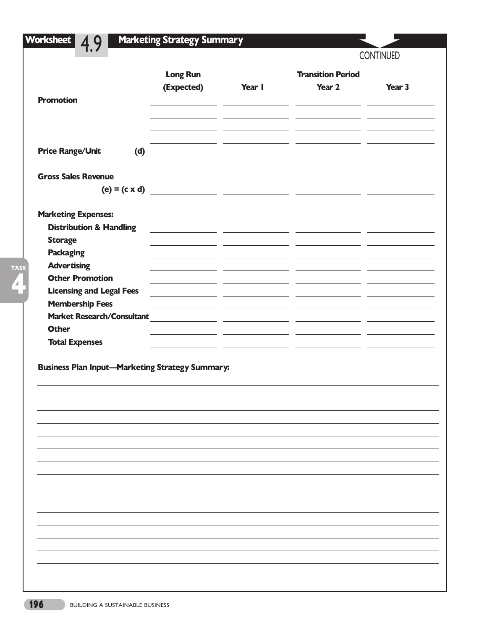| <b>Long Run</b><br><b>Transition Period</b><br>(Expected)<br>Year I<br>Year 2<br>Year 3<br><b>Promotion</b><br><b>Price Range/Unit</b><br>(d)<br><u> 1989 - Andrea San Andrew Maria (h. 1989).</u><br><b>Gross Sales Revenue</b><br><b>Marketing Expenses:</b><br><b>Distribution &amp; Handling</b><br>the control of the control of the control of the control of the control of the control of the control of the control of the control of the control of the control of the control of the control of the control of the control<br><b>Storage</b><br><b>Packaging</b><br><b>Advertising</b><br><b>Other Promotion</b><br><b>Licensing and Legal Fees</b><br><b>Membership Fees</b><br><b>Market Research/Consultant</b><br><b>Other</b><br><b>Total Expenses</b><br><b>Business Plan Input-Marketing Strategy Summary:</b> |  |  | <b>CONTINUED</b> |
|----------------------------------------------------------------------------------------------------------------------------------------------------------------------------------------------------------------------------------------------------------------------------------------------------------------------------------------------------------------------------------------------------------------------------------------------------------------------------------------------------------------------------------------------------------------------------------------------------------------------------------------------------------------------------------------------------------------------------------------------------------------------------------------------------------------------------------|--|--|------------------|
|                                                                                                                                                                                                                                                                                                                                                                                                                                                                                                                                                                                                                                                                                                                                                                                                                                  |  |  |                  |
|                                                                                                                                                                                                                                                                                                                                                                                                                                                                                                                                                                                                                                                                                                                                                                                                                                  |  |  |                  |
|                                                                                                                                                                                                                                                                                                                                                                                                                                                                                                                                                                                                                                                                                                                                                                                                                                  |  |  |                  |
|                                                                                                                                                                                                                                                                                                                                                                                                                                                                                                                                                                                                                                                                                                                                                                                                                                  |  |  |                  |
|                                                                                                                                                                                                                                                                                                                                                                                                                                                                                                                                                                                                                                                                                                                                                                                                                                  |  |  |                  |
|                                                                                                                                                                                                                                                                                                                                                                                                                                                                                                                                                                                                                                                                                                                                                                                                                                  |  |  |                  |
|                                                                                                                                                                                                                                                                                                                                                                                                                                                                                                                                                                                                                                                                                                                                                                                                                                  |  |  |                  |
|                                                                                                                                                                                                                                                                                                                                                                                                                                                                                                                                                                                                                                                                                                                                                                                                                                  |  |  |                  |
|                                                                                                                                                                                                                                                                                                                                                                                                                                                                                                                                                                                                                                                                                                                                                                                                                                  |  |  |                  |
|                                                                                                                                                                                                                                                                                                                                                                                                                                                                                                                                                                                                                                                                                                                                                                                                                                  |  |  |                  |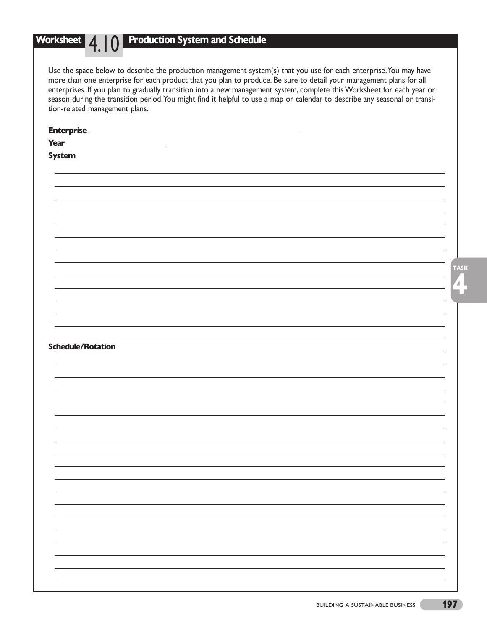## **Production System and Schedule**

Use the space below to describe the production management system(s) that you use for each enterprise. You may have more than one enterprise for each product that you plan to produce. Be sure to detail your management plans for all enterprises. If you plan to gradually transition into a new management system, complete this Worksheet for each year or season during the transition period.You might find it helpful to use a map or calendar to describe any seasonal or transition-related management plans.

| <b>Enterprise</b>        |  |              |
|--------------------------|--|--------------|
| Year                     |  |              |
| <b>System</b>            |  |              |
|                          |  |              |
|                          |  |              |
|                          |  |              |
|                          |  |              |
|                          |  |              |
|                          |  |              |
|                          |  |              |
|                          |  |              |
|                          |  |              |
|                          |  |              |
|                          |  | <b>TASK</b>  |
|                          |  |              |
|                          |  | $\mathbf{A}$ |
|                          |  |              |
|                          |  |              |
|                          |  |              |
|                          |  |              |
|                          |  |              |
| <b>Schedule/Rotation</b> |  |              |
|                          |  |              |
|                          |  |              |
|                          |  |              |
|                          |  |              |
|                          |  |              |
|                          |  |              |
|                          |  |              |
|                          |  |              |
|                          |  |              |
|                          |  |              |
|                          |  |              |
|                          |  |              |
|                          |  |              |
|                          |  |              |
|                          |  |              |
|                          |  |              |
|                          |  |              |
|                          |  |              |
|                          |  |              |
|                          |  |              |
|                          |  |              |
|                          |  |              |
|                          |  |              |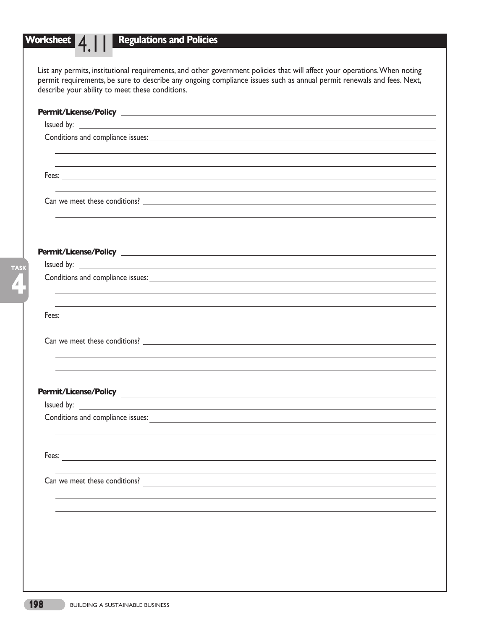# **Worksheet** 4 |

**4**

**TASK**

## **Regulations and Policies**

List any permits, institutional requirements, and other government policies that will affect your operations.When noting permit requirements, be sure to describe any ongoing compliance issues such as annual permit renewals and fees. Next, describe your ability to meet these conditions.

|                               | ,我们也不会有什么。""我们的人,我们也不会有什么?""我们的人,我们也不会有什么?""我们的人,我们也不会有什么?""我们的人,我们也不会有什么?""我们的人                                                                                                                                                     |
|-------------------------------|--------------------------------------------------------------------------------------------------------------------------------------------------------------------------------------------------------------------------------------|
|                               |                                                                                                                                                                                                                                      |
|                               |                                                                                                                                                                                                                                      |
|                               |                                                                                                                                                                                                                                      |
|                               |                                                                                                                                                                                                                                      |
|                               |                                                                                                                                                                                                                                      |
|                               |                                                                                                                                                                                                                                      |
|                               |                                                                                                                                                                                                                                      |
|                               |                                                                                                                                                                                                                                      |
|                               |                                                                                                                                                                                                                                      |
|                               |                                                                                                                                                                                                                                      |
|                               |                                                                                                                                                                                                                                      |
|                               |                                                                                                                                                                                                                                      |
|                               |                                                                                                                                                                                                                                      |
|                               |                                                                                                                                                                                                                                      |
|                               |                                                                                                                                                                                                                                      |
|                               |                                                                                                                                                                                                                                      |
|                               | <b>Permit/License/Policy Construction of the construction of the construction of the construction of the construction of the construction of the construction of the construction of the construction of the construction of the</b> |
|                               | Issued by: <u>example and the set of the set of the set of the set of the set of the set of the set of the set of the set of the set of the set of the set of the set of the set of the set of the set of the set of the set of </u> |
|                               |                                                                                                                                                                                                                                      |
|                               |                                                                                                                                                                                                                                      |
|                               |                                                                                                                                                                                                                                      |
| Fees:                         |                                                                                                                                                                                                                                      |
|                               |                                                                                                                                                                                                                                      |
| Can we meet these conditions? |                                                                                                                                                                                                                                      |
|                               |                                                                                                                                                                                                                                      |
|                               |                                                                                                                                                                                                                                      |
|                               |                                                                                                                                                                                                                                      |
|                               |                                                                                                                                                                                                                                      |
|                               |                                                                                                                                                                                                                                      |
|                               |                                                                                                                                                                                                                                      |
|                               |                                                                                                                                                                                                                                      |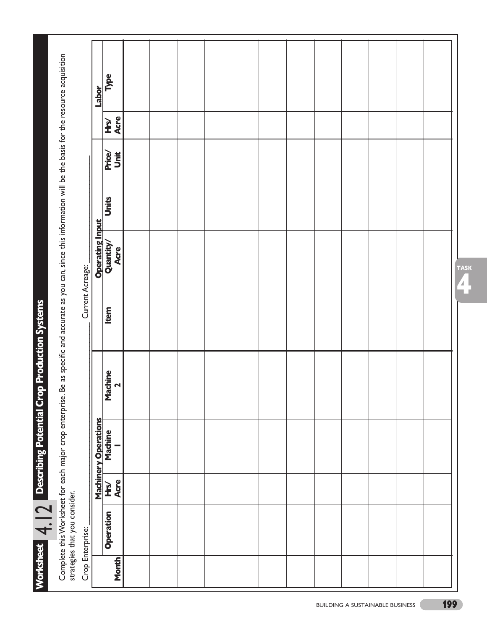|                                                                                                                                   | Labor                  | Type                      |  |  |  |  |  |  |  |
|-----------------------------------------------------------------------------------------------------------------------------------|------------------------|---------------------------|--|--|--|--|--|--|--|
|                                                                                                                                   |                        | Acre<br><b>NH</b>         |  |  |  |  |  |  |  |
|                                                                                                                                   |                        | Unit<br><b>Price/</b>     |  |  |  |  |  |  |  |
|                                                                                                                                   |                        | Units                     |  |  |  |  |  |  |  |
|                                                                                                                                   | <b>Operating Input</b> | Quantity/<br>Acre         |  |  |  |  |  |  |  |
| Be as specific and accurate as you can, since this information will be the basis for the resource acquisition<br>Current Acreage: |                        | Item                      |  |  |  |  |  |  |  |
|                                                                                                                                   |                        | Machine<br>$\blacksquare$ |  |  |  |  |  |  |  |
| Complete this Worksheet for each major crop enterprise.                                                                           | Machinery Operations   | Machine                   |  |  |  |  |  |  |  |
|                                                                                                                                   |                        | Acre<br><b>His</b>        |  |  |  |  |  |  |  |
| strategies that you consider.                                                                                                     |                        | Operation                 |  |  |  |  |  |  |  |
| Crop Enterprise:                                                                                                                  |                        | <b>Month</b>              |  |  |  |  |  |  |  |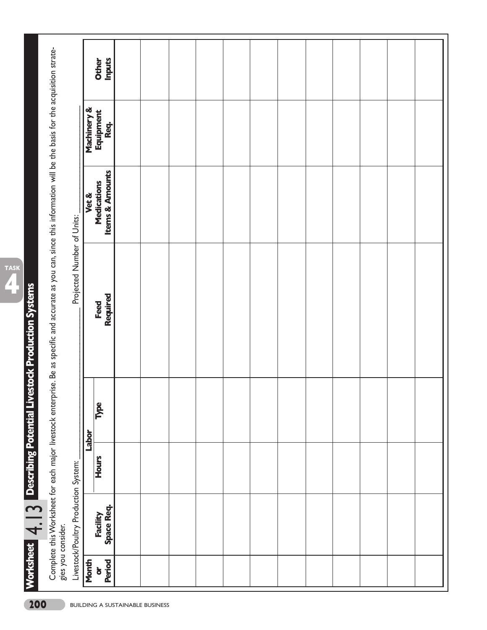**ribin g Pot e n tial Liv est o c k** <u>p</u> **r o** ত **u ctio n S yst e ms**

**4**

**TASK**

**Wo**

**rksh e et**

**D esc**

م<br>4.13

|                                        | gies you consider.                   |              |       | Complete this Worksheet for each major livestock enterprise. Be as specific and accurate as you can, since this information will be the basis for the acquisition strate- |                                           |                   |                               |
|----------------------------------------|--------------------------------------|--------------|-------|---------------------------------------------------------------------------------------------------------------------------------------------------------------------------|-------------------------------------------|-------------------|-------------------------------|
|                                        | Livestock/Poultry Production System: |              |       | Projected Number of Units:                                                                                                                                                |                                           |                   |                               |
| Month                                  |                                      |              | Labor |                                                                                                                                                                           | Vet &                                     | Machinery &       |                               |
| Period<br>$\overleftarrow{\mathbf{o}}$ | <b>Space Req.</b><br>Facility        | <b>Hours</b> | Type  | Required<br>Feed                                                                                                                                                          | <b>Items &amp; Amounts</b><br>Medications | Equipment<br>Req. | <b>Inputs</b><br><b>Other</b> |
|                                        |                                      |              |       |                                                                                                                                                                           |                                           |                   |                               |
|                                        |                                      |              |       |                                                                                                                                                                           |                                           |                   |                               |
|                                        |                                      |              |       |                                                                                                                                                                           |                                           |                   |                               |
|                                        |                                      |              |       |                                                                                                                                                                           |                                           |                   |                               |
|                                        |                                      |              |       |                                                                                                                                                                           |                                           |                   |                               |
|                                        |                                      |              |       |                                                                                                                                                                           |                                           |                   |                               |
|                                        |                                      |              |       |                                                                                                                                                                           |                                           |                   |                               |
|                                        |                                      |              |       |                                                                                                                                                                           |                                           |                   |                               |
|                                        |                                      |              |       |                                                                                                                                                                           |                                           |                   |                               |
|                                        |                                      |              |       |                                                                                                                                                                           |                                           |                   |                               |
|                                        |                                      |              |       |                                                                                                                                                                           |                                           |                   |                               |
|                                        |                                      |              |       |                                                                                                                                                                           |                                           |                   |                               |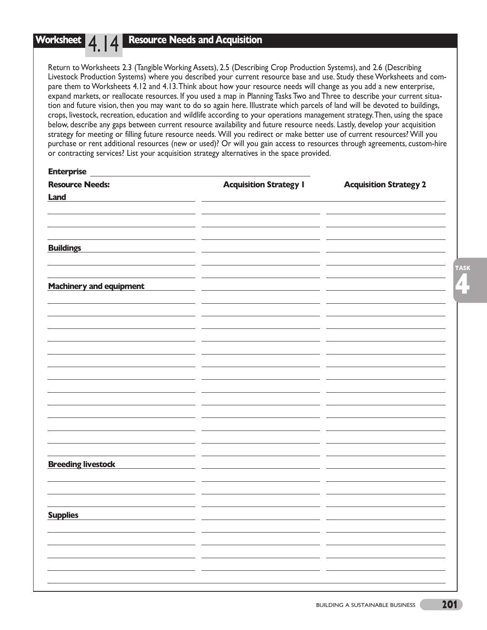## **Resource Needs and Acquisition**

Return to Worksheets 2.3 (Tangible Working Assets), 2.5 (Describing Crop Production Systems), and 2.6 (Describing Livestock Production Systems) where you described your current resource base and use. Study these Worksheets and compare them to Worksheets 4.12 and 4.13.Think about how your resource needs will change as you add a new enterprise, expand markets, or reallocate resources. If you used a map in Planning Tasks Two and Three to describe your current situation and future vision, then you may want to do so again here. Illustrate which parcels of land will be devoted to buildings, crops, livestock, recreation, education and wildlife according to your operations management strategy.Then, using the space below, describe any gaps between current resource availability and future resource needs. Lastly, develop your acquisition strategy for meeting or filling future resource needs. Will you redirect or make better use of current resources? Will you purchase or rent additional resources (new or used)? Or will you gain access to resources through agreements, custom-hire or contracting services? List your acquisition strategy alternatives in the space provided.

| <b>Enterprise</b>              |                               |                               |
|--------------------------------|-------------------------------|-------------------------------|
| <b>Resource Needs:</b>         | <b>Acquisition Strategy I</b> | <b>Acquisition Strategy 2</b> |
| Land                           |                               |                               |
|                                |                               |                               |
|                                |                               |                               |
|                                |                               |                               |
|                                |                               |                               |
| <b>Buildings</b>               |                               |                               |
|                                |                               |                               |
|                                |                               |                               |
| <b>Machinery and equipment</b> |                               |                               |
|                                |                               |                               |
|                                |                               |                               |
|                                |                               |                               |
|                                |                               |                               |
|                                |                               |                               |
|                                |                               |                               |
|                                |                               |                               |
|                                |                               |                               |
|                                |                               |                               |
|                                |                               |                               |
|                                |                               |                               |
|                                |                               |                               |
|                                |                               |                               |
|                                |                               |                               |
|                                |                               |                               |
|                                |                               |                               |
|                                |                               |                               |
| <b>Breeding livestock</b>      |                               |                               |
|                                |                               |                               |
|                                |                               |                               |
|                                |                               |                               |
|                                |                               |                               |
| <b>Supplies</b>                |                               |                               |
|                                |                               |                               |
|                                |                               |                               |
|                                | - -                           |                               |
|                                | - -                           | - -                           |
|                                |                               |                               |

**4**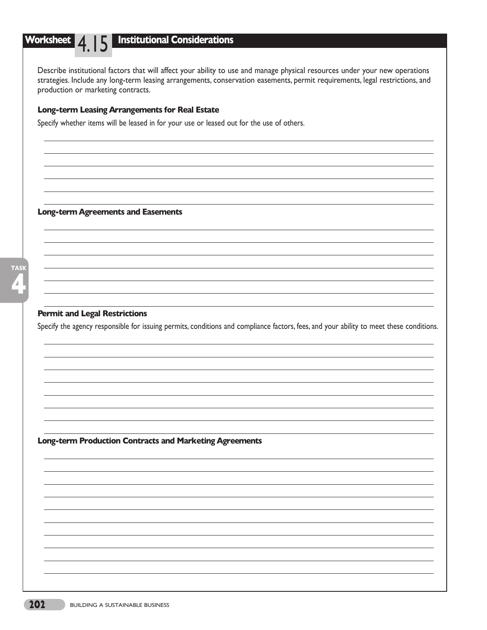## **Institutional Considerations**

Describe institutional factors that will affect your ability to use and manage physical resources under your new operations strategies. Include any long-term leasing arrangements, conservation easements, permit requirements, legal restrictions, and production or marketing contracts.

## **Long-term Leasing Arrangements for Real Estate**

Specify whether items will be leased in for your use or leased out for the use of others.

#### **Long-term Agreements and Easements**

## **Permit and Legal Restrictions**

Specify the agency responsible for issuing permits, conditions and compliance factors, fees, and your ability to meet these conditions.

**Long-term Production Contracts and Marketing Agreements**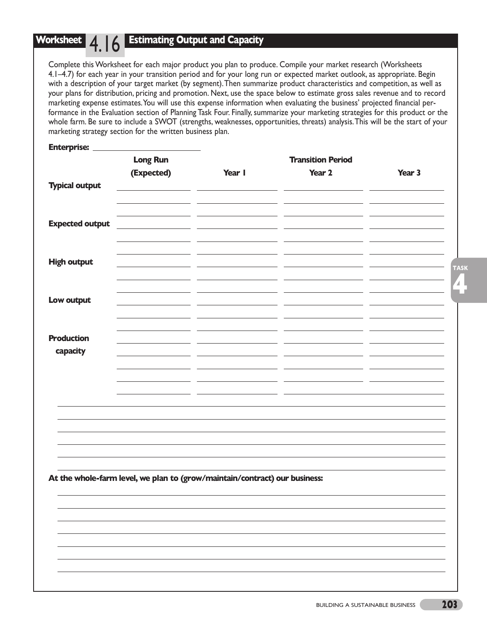## **Estimating Output and Capacity**

Complete this Worksheet for each major product you plan to produce. Compile your market research (Worksheets 4.1–4.7) for each year in your transition period and for your long run or expected market outlook, as appropriate. Begin with a description of your target market (by segment).Then summarize product characteristics and competition, as well as your plans for distribution, pricing and promotion. Next, use the space below to estimate gross sales revenue and to record marketing expense estimates.You will use this expense information when evaluating the business' projected financial performance in the Evaluation section of Planning Task Four. Finally, summarize your marketing strategies for this product or the whole farm. Be sure to include a SWOT (strengths, weaknesses, opportunities, threats) analysis.This will be the start of your marketing strategy section for the written business plan.

| <b>Enterprise:</b>     | <b>Long Run</b>                                                            |        | <b>Transition Period</b> |        |
|------------------------|----------------------------------------------------------------------------|--------|--------------------------|--------|
| <b>Typical output</b>  | (Expected)                                                                 | Year I | Year 2                   | Year 3 |
|                        |                                                                            |        |                          |        |
|                        |                                                                            |        |                          |        |
| <b>Expected output</b> |                                                                            |        |                          |        |
|                        |                                                                            |        |                          |        |
| <b>High output</b>     |                                                                            |        |                          |        |
|                        |                                                                            |        |                          |        |
| Low output             |                                                                            |        |                          |        |
|                        |                                                                            |        |                          |        |
| <b>Production</b>      |                                                                            |        |                          |        |
| capacity               |                                                                            |        |                          |        |
|                        |                                                                            |        |                          |        |
|                        |                                                                            |        |                          |        |
|                        |                                                                            |        |                          |        |
|                        |                                                                            |        |                          |        |
|                        |                                                                            |        |                          |        |
|                        |                                                                            |        |                          |        |
|                        | At the whole-farm level, we plan to (grow/maintain/contract) our business: |        |                          |        |
|                        |                                                                            |        |                          |        |
|                        |                                                                            |        |                          |        |
|                        |                                                                            |        |                          |        |
|                        |                                                                            |        |                          |        |
|                        |                                                                            |        |                          |        |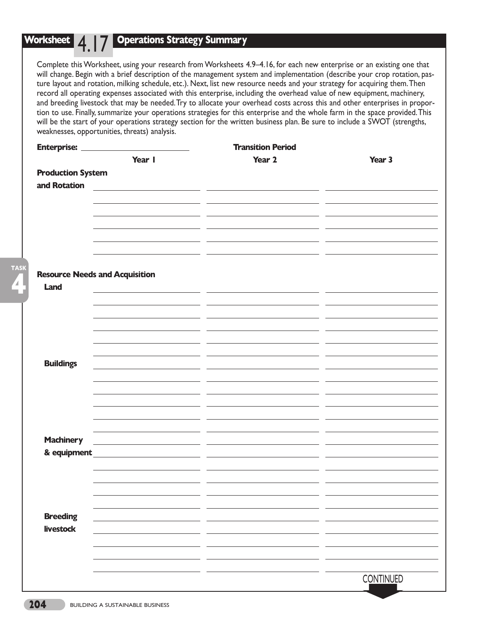**4**

**TASK**

## **Operations Strategy Summary**

Complete this Worksheet, using your research from Worksheets 4.9–4.16, for each new enterprise or an existing one that will change. Begin with a brief description of the management system and implementation (describe your crop rotation, pasture layout and rotation, milking schedule, etc.). Next, list new resource needs and your strategy for acquiring them.Then record all operating expenses associated with this enterprise, including the overhead value of new equipment, machinery, and breeding livestock that may be needed.Try to allocate your overhead costs across this and other enterprises in proportion to use. Finally, summarize your operations strategies for this enterprise and the whole farm in the space provided.This will be the start of your operations strategy section for the written business plan. Be sure to include a SWOT (strengths, weaknesses, opportunities, threats) analysis.

| <b>Enterprise:</b>       |                                                    | <b>Transition Period</b> |           |
|--------------------------|----------------------------------------------------|--------------------------|-----------|
|                          | Year I                                             | Year 2                   | Year 3    |
| <b>Production System</b> |                                                    |                          |           |
| and Rotation             |                                                    |                          |           |
|                          |                                                    |                          |           |
|                          |                                                    |                          |           |
|                          |                                                    |                          |           |
|                          |                                                    |                          |           |
|                          |                                                    |                          |           |
|                          |                                                    |                          |           |
|                          |                                                    |                          |           |
|                          | <b>Resource Needs and Acquisition</b>              |                          |           |
| Land                     |                                                    |                          |           |
|                          |                                                    |                          |           |
|                          |                                                    |                          |           |
|                          |                                                    |                          |           |
|                          |                                                    |                          |           |
|                          |                                                    |                          |           |
|                          |                                                    |                          |           |
| <b>Buildings</b>         |                                                    |                          |           |
|                          |                                                    |                          |           |
|                          |                                                    |                          |           |
|                          |                                                    |                          |           |
|                          |                                                    |                          |           |
|                          |                                                    |                          |           |
| <b>Machinery</b>         |                                                    |                          |           |
|                          | <u> 1980 - Jan Stein Stein, fransk politiker (</u> |                          |           |
| & equipment              | the contract of the contract of the contract of    |                          |           |
|                          |                                                    |                          |           |
|                          |                                                    |                          |           |
|                          |                                                    |                          |           |
|                          |                                                    |                          |           |
| <b>Breeding</b>          |                                                    |                          |           |
| <b>livestock</b>         |                                                    |                          |           |
|                          |                                                    |                          |           |
|                          |                                                    |                          |           |
|                          |                                                    |                          |           |
|                          |                                                    |                          | CONTINUED |
|                          |                                                    |                          |           |
|                          |                                                    |                          |           |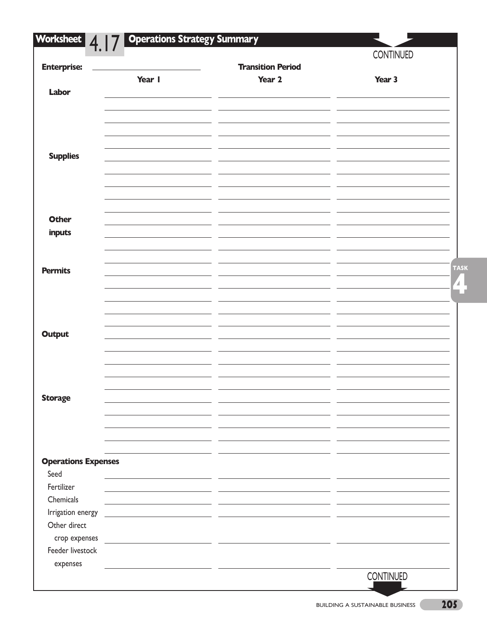| Worksheet<br>4.1           | <b>Operations Strategy Summary</b>                                                                                     |                                                               |                  |
|----------------------------|------------------------------------------------------------------------------------------------------------------------|---------------------------------------------------------------|------------------|
|                            |                                                                                                                        |                                                               | <b>CONTINUED</b> |
| <b>Enterprise:</b>         | Year I                                                                                                                 | <b>Transition Period</b><br>Year 2                            | Year 3           |
| Labor                      |                                                                                                                        |                                                               |                  |
|                            |                                                                                                                        |                                                               |                  |
| <b>Supplies</b>            |                                                                                                                        |                                                               |                  |
| <b>Other</b><br>inputs     |                                                                                                                        |                                                               |                  |
| <b>Permits</b>             |                                                                                                                        |                                                               | <b>TASK</b>      |
|                            |                                                                                                                        |                                                               |                  |
| <b>Output</b>              |                                                                                                                        |                                                               |                  |
|                            |                                                                                                                        |                                                               |                  |
| <b>Storage</b>             |                                                                                                                        |                                                               |                  |
|                            |                                                                                                                        |                                                               |                  |
| <b>Operations Expenses</b> |                                                                                                                        |                                                               |                  |
| Seed                       |                                                                                                                        | <u> 1989 - Andrea Station, amerikansk politiker (d. 1989)</u> |                  |
| Fertilizer                 |                                                                                                                        |                                                               |                  |
| Chemicals                  |                                                                                                                        |                                                               |                  |
| Irrigation energy          |                                                                                                                        |                                                               |                  |
| Other direct               |                                                                                                                        |                                                               |                  |
| crop expenses              | <u> 1980 - Andrea Barbara, politikar esperantor estatubatuar est. Esperantor est. Esperantor est. Esperantor est. </u> |                                                               |                  |
| Feeder livestock           |                                                                                                                        |                                                               |                  |
| expenses                   |                                                                                                                        | <u> 1989 - Johann Barbara, mars eta politikar</u>             |                  |
|                            |                                                                                                                        |                                                               | <b>CONTINUED</b> |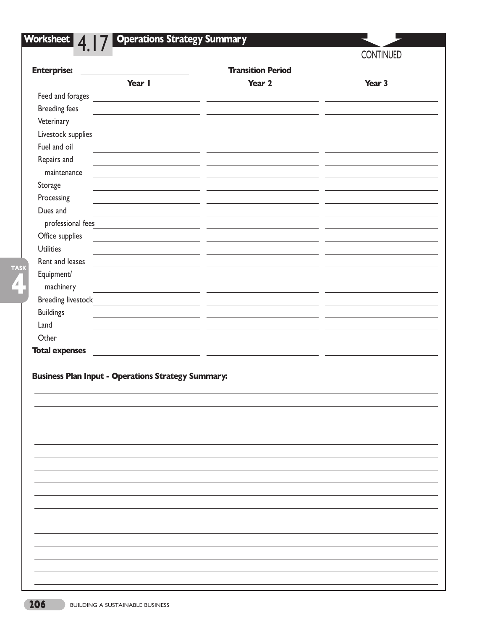| <b>Transition Period</b><br><b>Enterprise:</b><br>Year I<br>Year 2<br>Year 3<br>Feed and forages <b>Feed and forages</b><br><b>Breeding fees</b><br><u> 1980 - Jan Stein Harry Harry Harry Harry Harry Harry Harry Harry Harry Harry Harry Harry Harry Harry Harry H</u><br>Veterinary<br>maintenance<br>professional fees<br>machinery |                       | 4.17 | <b>CONTINUED</b> |
|-----------------------------------------------------------------------------------------------------------------------------------------------------------------------------------------------------------------------------------------------------------------------------------------------------------------------------------------|-----------------------|------|------------------|
|                                                                                                                                                                                                                                                                                                                                         |                       |      |                  |
|                                                                                                                                                                                                                                                                                                                                         |                       |      |                  |
|                                                                                                                                                                                                                                                                                                                                         |                       |      |                  |
|                                                                                                                                                                                                                                                                                                                                         |                       |      |                  |
|                                                                                                                                                                                                                                                                                                                                         |                       |      |                  |
| Fuel and oil<br>Repairs and<br>Storage<br>Processing<br>Dues and<br>Office supplies                                                                                                                                                                                                                                                     | Livestock supplies    |      |                  |
|                                                                                                                                                                                                                                                                                                                                         |                       |      |                  |
|                                                                                                                                                                                                                                                                                                                                         |                       |      |                  |
|                                                                                                                                                                                                                                                                                                                                         |                       |      |                  |
|                                                                                                                                                                                                                                                                                                                                         |                       |      |                  |
|                                                                                                                                                                                                                                                                                                                                         |                       |      |                  |
|                                                                                                                                                                                                                                                                                                                                         |                       |      |                  |
|                                                                                                                                                                                                                                                                                                                                         |                       |      |                  |
|                                                                                                                                                                                                                                                                                                                                         |                       |      |                  |
| Rent and leases<br>Equipment/<br><b>Breeding livestock</b><br><b>Buildings</b><br>Other<br><b>Business Plan Input - Operations Strategy Summary:</b>                                                                                                                                                                                    | <b>Utilities</b>      |      |                  |
|                                                                                                                                                                                                                                                                                                                                         |                       |      |                  |
|                                                                                                                                                                                                                                                                                                                                         |                       |      |                  |
|                                                                                                                                                                                                                                                                                                                                         |                       |      |                  |
|                                                                                                                                                                                                                                                                                                                                         |                       |      |                  |
|                                                                                                                                                                                                                                                                                                                                         |                       |      |                  |
|                                                                                                                                                                                                                                                                                                                                         | Land                  |      |                  |
|                                                                                                                                                                                                                                                                                                                                         |                       |      |                  |
|                                                                                                                                                                                                                                                                                                                                         |                       |      |                  |
|                                                                                                                                                                                                                                                                                                                                         |                       |      |                  |
|                                                                                                                                                                                                                                                                                                                                         | <b>Total expenses</b> |      |                  |
|                                                                                                                                                                                                                                                                                                                                         |                       |      |                  |
|                                                                                                                                                                                                                                                                                                                                         |                       |      |                  |
|                                                                                                                                                                                                                                                                                                                                         |                       |      |                  |
|                                                                                                                                                                                                                                                                                                                                         |                       |      |                  |
|                                                                                                                                                                                                                                                                                                                                         |                       |      |                  |
|                                                                                                                                                                                                                                                                                                                                         |                       |      |                  |
|                                                                                                                                                                                                                                                                                                                                         |                       |      |                  |
|                                                                                                                                                                                                                                                                                                                                         |                       |      |                  |
|                                                                                                                                                                                                                                                                                                                                         |                       |      |                  |
|                                                                                                                                                                                                                                                                                                                                         |                       |      |                  |
|                                                                                                                                                                                                                                                                                                                                         |                       |      |                  |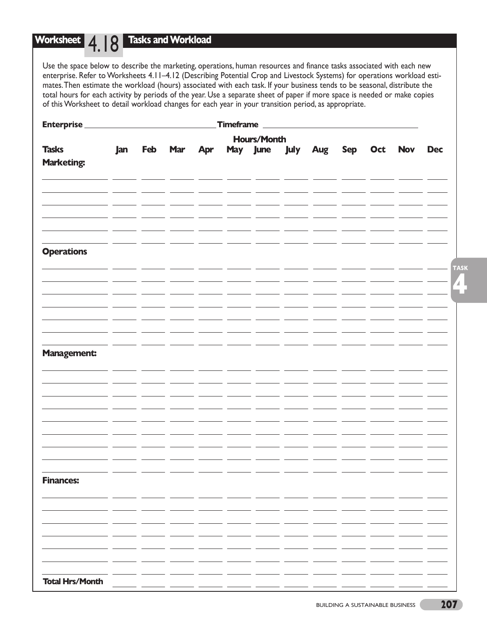#### **Worksheet 4 | Q | Tasks and Workload** 4.18

Use the space below to describe the marketing, operations, human resources and finance tasks associated with each new enterprise. Refer to Worksheets 4.11–4.12 (Describing Potential Crop and Livestock Systems) for operations workload estimates.Then estimate the workload (hours) associated with each task. If your business tends to be seasonal, distribute the total hours for each activity by periods of the year. Use a separate sheet of paper if more space is needed or make copies of this Worksheet to detail workload changes for each year in your transition period, as appropriate.

| <b>Enterprise</b>                 |     |         |     | Timeframe |                               |                    |  |             |
|-----------------------------------|-----|---------|-----|-----------|-------------------------------|--------------------|--|-------------|
|                                   |     |         |     |           | <b>Hours/Month</b>            |                    |  |             |
| <b>Tasks</b><br><b>Marketing:</b> | Jan | Feb Mar | Apr |           | May June July Aug Sep Oct Nov |                    |  | <b>Dec</b>  |
|                                   |     |         |     |           |                               |                    |  |             |
|                                   |     |         |     |           |                               |                    |  |             |
| <b>Operations</b>                 |     |         |     |           |                               |                    |  | <b>TASK</b> |
|                                   |     |         |     |           |                               | _ _______ ______ _ |  |             |
|                                   |     |         |     |           |                               |                    |  |             |
| <b>Management:</b>                |     |         |     |           |                               |                    |  |             |
|                                   |     |         |     |           |                               |                    |  |             |
|                                   |     |         |     |           |                               |                    |  |             |
|                                   |     |         |     |           |                               |                    |  |             |
|                                   |     |         |     |           |                               |                    |  |             |
| <b>Finances:</b>                  |     |         |     |           |                               |                    |  |             |
|                                   |     |         |     |           |                               |                    |  |             |
|                                   |     |         |     |           |                               |                    |  |             |
| <b>Total Hrs/Month</b>            |     |         |     |           |                               |                    |  |             |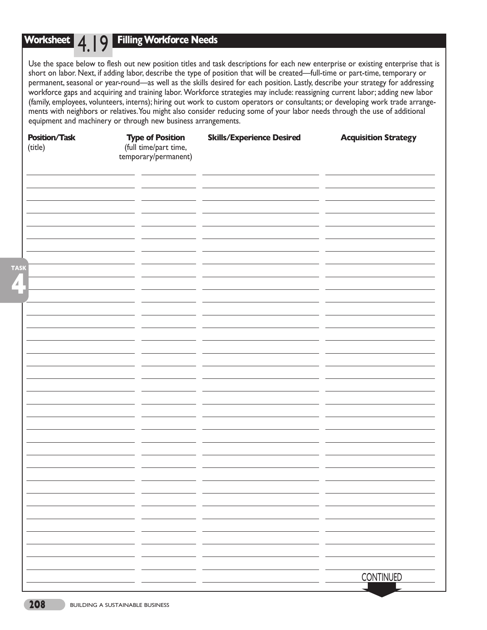## **Worksheet** 4.19 **Filling Workforce Needs**

Use the space below to flesh out new position titles and task descriptions for each new enterprise or existing enterprise that is short on labor. Next, if adding labor, describe the type of position that will be created—full-time or part-time, temporary or permanent, seasonal or year-round—as well as the skills desired for each position. Lastly, describe your strategy for addressing workforce gaps and acquiring and training labor. Workforce strategies may include: reassigning current labor; adding new labor (family, employees, volunteers, interns); hiring out work to custom operators or consultants; or developing work trade arrangements with neighbors or relatives.You might also consider reducing some of your labor needs through the use of additional equipment and machinery or through new business arrangements.

| <b>Position/Task</b><br>(title) | <b>Type of Position</b><br>(full time/part time,<br>temporary/permanent) | <b>Skills/Experience Desired</b> | <b>Acquisition Strategy</b> |
|---------------------------------|--------------------------------------------------------------------------|----------------------------------|-----------------------------|
|                                 |                                                                          |                                  |                             |
|                                 |                                                                          |                                  |                             |
|                                 |                                                                          |                                  |                             |
| <b>TASK</b><br>2                |                                                                          |                                  |                             |
|                                 |                                                                          |                                  |                             |
|                                 |                                                                          |                                  |                             |
|                                 |                                                                          |                                  |                             |
|                                 |                                                                          |                                  |                             |
|                                 |                                                                          |                                  |                             |
|                                 |                                                                          |                                  |                             |
|                                 |                                                                          |                                  |                             |
|                                 |                                                                          |                                  |                             |
|                                 |                                                                          |                                  |                             |
|                                 |                                                                          |                                  | <b>CONTINUED</b>            |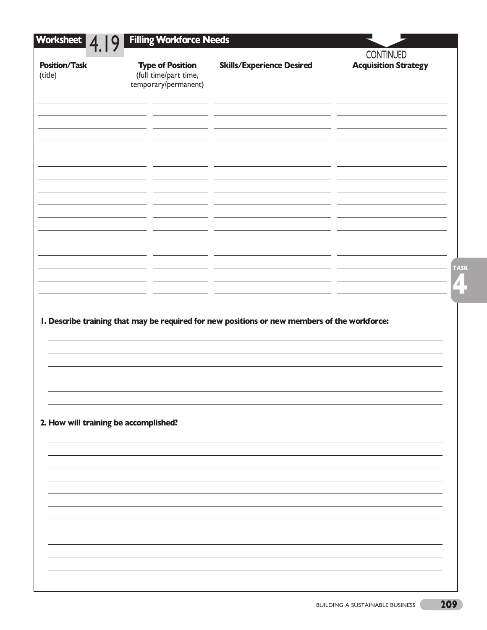| 4.<br><b>Position/Task</b><br>(title) | <b>Type of Position</b><br>(full time/part time, | <b>Skills/Experience Desired</b>                                                             | <b>CONTINUED</b><br><b>Acquisition Strategy</b> |
|---------------------------------------|--------------------------------------------------|----------------------------------------------------------------------------------------------|-------------------------------------------------|
|                                       | temporary/permanent)                             |                                                                                              |                                                 |
|                                       |                                                  |                                                                                              |                                                 |
|                                       |                                                  |                                                                                              |                                                 |
|                                       |                                                  |                                                                                              |                                                 |
|                                       |                                                  |                                                                                              |                                                 |
|                                       |                                                  |                                                                                              |                                                 |
|                                       |                                                  |                                                                                              |                                                 |
|                                       |                                                  |                                                                                              |                                                 |
|                                       |                                                  |                                                                                              |                                                 |
|                                       |                                                  |                                                                                              |                                                 |
|                                       |                                                  |                                                                                              |                                                 |
|                                       |                                                  |                                                                                              |                                                 |
|                                       |                                                  |                                                                                              |                                                 |
|                                       |                                                  |                                                                                              |                                                 |
|                                       |                                                  | I. Describe training that may be required for new positions or new members of the workforce: |                                                 |
|                                       |                                                  |                                                                                              |                                                 |
|                                       |                                                  |                                                                                              |                                                 |
|                                       |                                                  |                                                                                              |                                                 |
|                                       |                                                  |                                                                                              |                                                 |
|                                       | 2. How will training be accomplished?            |                                                                                              |                                                 |
|                                       |                                                  |                                                                                              |                                                 |
|                                       |                                                  |                                                                                              |                                                 |
|                                       |                                                  |                                                                                              |                                                 |
|                                       |                                                  |                                                                                              |                                                 |
|                                       |                                                  |                                                                                              |                                                 |
|                                       |                                                  |                                                                                              |                                                 |
|                                       |                                                  |                                                                                              |                                                 |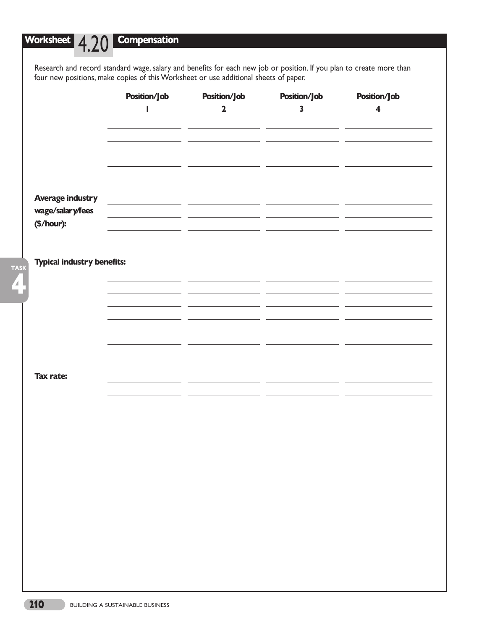**4**

**TASK**

**Worksheet** 4.20 **Compensation**

Research and record standard wage, salary and benefits for each new job or position. If you plan to create more than four new positions, make copies of this Worksheet or use additional sheets of paper.

|                                   | <b>Position/Job</b> | <b>Position/Job</b> | <b>Position/Job</b>     | <b>Position/Job</b>     |
|-----------------------------------|---------------------|---------------------|-------------------------|-------------------------|
|                                   | ı                   | $\mathbf 2$         | $\overline{\mathbf{3}}$ | $\overline{\mathbf{4}}$ |
|                                   |                     |                     |                         |                         |
|                                   |                     |                     |                         |                         |
|                                   |                     |                     |                         |                         |
|                                   |                     |                     |                         |                         |
| <b>Average industry</b>           |                     |                     |                         |                         |
| wage/salary/fees                  |                     |                     |                         |                         |
| (\$/hour):                        |                     |                     |                         |                         |
|                                   |                     |                     |                         |                         |
| <b>Typical industry benefits:</b> |                     |                     |                         |                         |
|                                   |                     |                     |                         |                         |
|                                   |                     |                     |                         |                         |
|                                   |                     |                     |                         |                         |
|                                   |                     |                     |                         |                         |
|                                   |                     |                     |                         |                         |
|                                   |                     |                     |                         |                         |
| <b>Tax rate:</b>                  |                     |                     |                         |                         |
|                                   |                     |                     |                         |                         |
|                                   |                     |                     |                         |                         |
|                                   |                     |                     |                         |                         |
|                                   |                     |                     |                         |                         |
|                                   |                     |                     |                         |                         |
|                                   |                     |                     |                         |                         |
|                                   |                     |                     |                         |                         |
|                                   |                     |                     |                         |                         |
|                                   |                     |                     |                         |                         |
|                                   |                     |                     |                         |                         |
|                                   |                     |                     |                         |                         |
|                                   |                     |                     |                         |                         |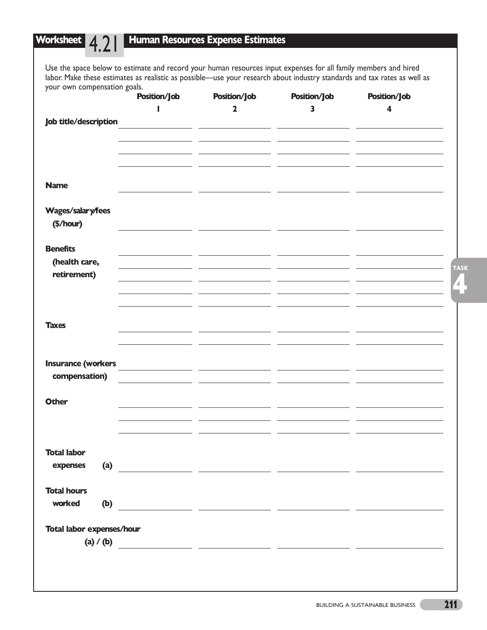## **Worksheet** 4.21 **Human Resources Expense Estimates** Use the space below to estimate and record your human resources input expenses for all family members and hired labor. Make these estimates as realistic as possible—use your research about industry standards and tax rates as well as your own compensation goals.<br>Position/lob **Position/Job Position/Job Position/Job Position/Job 1 2 3 4 Job title/description**  $\overline{a}$  $\overline{a}$  $\mathbb{R}^2$ **Name**  $\equiv$   $\equiv$ **Wages/salary/fees (\$/hour)**  $\overline{\phantom{a}}$ <u> 1999 - Jan Jawa</u>  $\overline{a}$ **Benefits**  <u> a shekara ta 199</u> **(health care,**  $\overline{\phantom{a}}$ <u> 1990 - Johann Marie Barn, politik politik (</u> <u> 1990 - Johann Barnett, fransk politik</u> **retirement)**  $\sim 10^{-1}$ **Taxes Insurance (workers compensation) Other Total labor expenses (a) Total hours worked (b) Total labor expenses/hour (a) / (b)**

**4**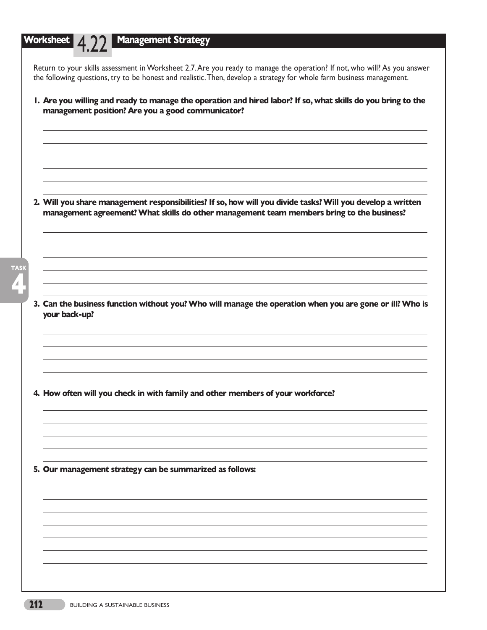# **Worksheet** 4.22 **Management Strategy** Return to your skills assessment in Worksheet 2.7.Are you ready to manage the operation? If not, who will? As you answer the following questions, try to be honest and realistic.Then, develop a strategy for whole farm business management.

**1. Are you willing and ready to manage the operation and hired labor? If so, what skills do you bring to the management position? Are you a good communicator?** 

- **2. Will you share management responsibilities? If so, how will you divide tasks? Will you develop a written management agreement? What skills do other management team members bring to the business?**
- **4 TASK**
- **3. Can the business function without you? Who will manage the operation when you are gone or ill? Who is your back-up?**

**4. How often will you check in with family and other members of your workforce?**

**5. Our management strategy can be summarized as follows:**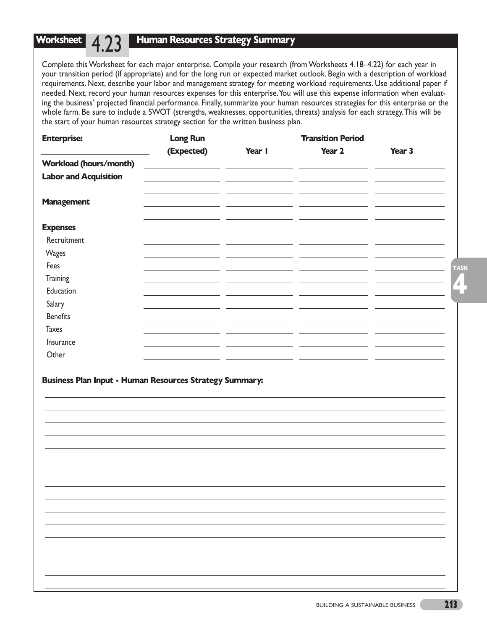## **Human Resources Strategy Summary**

Complete this Worksheet for each major enterprise. Compile your research (from Worksheets 4.18–4.22) for each year in your transition period (if appropriate) and for the long run or expected market outlook. Begin with a description of workload requirements. Next, describe your labor and management strategy for meeting workload requirements. Use additional paper if needed. Next, record your human resources expenses for this enterprise.You will use this expense information when evaluating the business' projected financial performance. Finally, summarize your human resources strategies for this enterprise or the whole farm. Be sure to include a SWOT (strengths, weaknesses, opportunities, threats) analysis for each strategy.This will be the start of your human resources strategy section for the written business plan.

| <b>Enterprise:</b>            | <b>Long Run</b> |                                                                            | <b>Transition Period</b> |        |
|-------------------------------|-----------------|----------------------------------------------------------------------------|--------------------------|--------|
|                               | (Expected)      | Year I                                                                     | Year 2                   | Year 3 |
| <b>Workload (hours/month)</b> |                 |                                                                            |                          |        |
| <b>Labor and Acquisition</b>  |                 | <u> 1989 - Johann Stein, mars an deus Amerikaansk kommunister (* 1908)</u> |                          |        |
| <b>Management</b>             |                 |                                                                            |                          |        |
| <b>Expenses</b>               |                 |                                                                            |                          |        |
| Recruitment                   |                 |                                                                            |                          |        |
| Wages                         |                 |                                                                            |                          |        |
| Fees                          |                 |                                                                            |                          |        |
| <b>Training</b>               |                 |                                                                            |                          |        |
| Education                     |                 |                                                                            |                          |        |
| Salary                        |                 |                                                                            |                          |        |
| <b>Benefits</b>               |                 |                                                                            |                          |        |
| <b>Taxes</b>                  |                 |                                                                            |                          |        |
| Insurance                     |                 |                                                                            |                          |        |
| Other                         | ______          |                                                                            |                          |        |

## **Business Plan Input - Human Resources Strategy Summary:**

**4**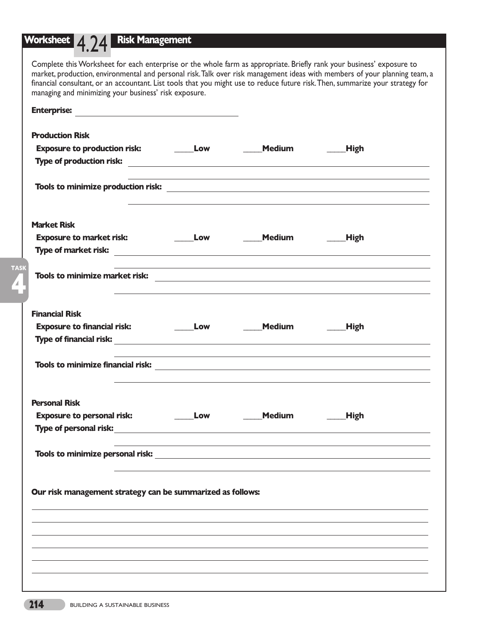# **Worksheet** 4.24 **Risk Management**

| Enterprise: Enterprise:                                                                                                                                                                                                              |                          |                                 |                                                                                                                  |
|--------------------------------------------------------------------------------------------------------------------------------------------------------------------------------------------------------------------------------------|--------------------------|---------------------------------|------------------------------------------------------------------------------------------------------------------|
| <b>Production Risk</b>                                                                                                                                                                                                               |                          |                                 |                                                                                                                  |
|                                                                                                                                                                                                                                      |                          |                                 |                                                                                                                  |
|                                                                                                                                                                                                                                      |                          |                                 |                                                                                                                  |
|                                                                                                                                                                                                                                      |                          |                                 |                                                                                                                  |
| <b>Market Risk</b>                                                                                                                                                                                                                   |                          |                                 |                                                                                                                  |
|                                                                                                                                                                                                                                      |                          |                                 |                                                                                                                  |
| Type of market risk: <u>with a set of the set of the set of the set of the set of the set of the set of the set of the set of the set of the set of the set of the set of the set of the set of the set of the set of the set of</u> |                          |                                 |                                                                                                                  |
|                                                                                                                                                                                                                                      |                          |                                 |                                                                                                                  |
| <b>Financial Risk</b>                                                                                                                                                                                                                |                          |                                 |                                                                                                                  |
| <b>Exposure to financial risk:</b>                                                                                                                                                                                                   |                          | ______Low ________Medium ______ | <b>High</b>                                                                                                      |
|                                                                                                                                                                                                                                      |                          |                                 |                                                                                                                  |
|                                                                                                                                                                                                                                      |                          |                                 | and the control of the control of the control of the control of the control of the control of the control of the |
| <b>Personal Risk</b>                                                                                                                                                                                                                 |                          |                                 |                                                                                                                  |
| <b>Exposure to personal risk:</b>                                                                                                                                                                                                    | $\rule{1em}{0.15mm}$ Low | <b>Medium</b>                   | <b>High</b>                                                                                                      |
|                                                                                                                                                                                                                                      |                          |                                 |                                                                                                                  |
|                                                                                                                                                                                                                                      |                          |                                 |                                                                                                                  |
| Our risk management strategy can be summarized as follows:                                                                                                                                                                           |                          |                                 |                                                                                                                  |
|                                                                                                                                                                                                                                      |                          |                                 |                                                                                                                  |
|                                                                                                                                                                                                                                      |                          |                                 |                                                                                                                  |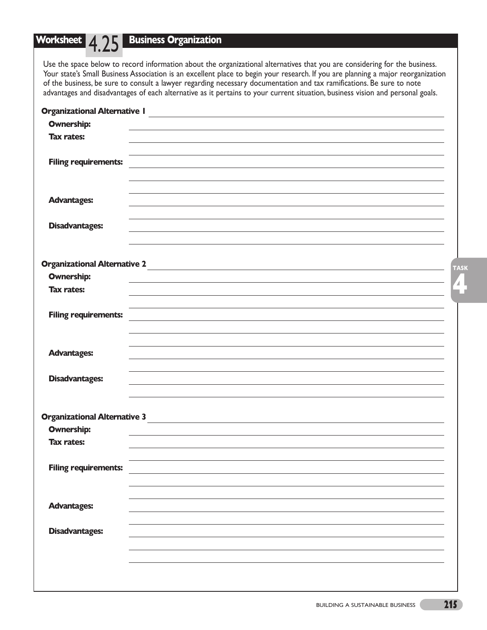# **Worksheet** 4.25 **Business Organization**

Use the space below to record information about the organizational alternatives that you are considering for the business. Your state's Small Business Association is an excellent place to begin your research. If you are planning a major reorganization of the business, be sure to consult a lawyer regarding necessary documentation and tax ramifications. Be sure to note advantages and disadvantages of each alternative as it pertains to your current situation, business vision and personal goals.

| <b>Organizational Alternative I</b><br><u> 1980 - John Stein, Amerikaansk politiker (* 1901)</u> |             |
|--------------------------------------------------------------------------------------------------|-------------|
| <b>Ownership:</b>                                                                                |             |
| <b>Tax rates:</b>                                                                                |             |
|                                                                                                  |             |
| <b>Filing requirements:</b>                                                                      |             |
|                                                                                                  |             |
|                                                                                                  |             |
| <b>Advantages:</b>                                                                               |             |
|                                                                                                  |             |
| <b>Disadvantages:</b>                                                                            |             |
|                                                                                                  |             |
|                                                                                                  |             |
|                                                                                                  |             |
| <b>Ownership:</b>                                                                                | <b>TASK</b> |
| <b>Tax rates:</b>                                                                                | 4           |
|                                                                                                  | أتابيا      |
| <b>Filing requirements:</b>                                                                      |             |
|                                                                                                  |             |
|                                                                                                  |             |
|                                                                                                  |             |
| <b>Advantages:</b>                                                                               |             |
|                                                                                                  |             |
| <b>Disadvantages:</b>                                                                            |             |
|                                                                                                  |             |
|                                                                                                  |             |
| <b>Organizational Alternative 3</b>                                                              |             |
| <b>Ownership:</b><br><b>Tax rates:</b>                                                           |             |
|                                                                                                  |             |
|                                                                                                  |             |
| <b>Filing requirements:</b>                                                                      |             |
|                                                                                                  |             |
|                                                                                                  |             |
| <b>Advantages:</b>                                                                               |             |
|                                                                                                  |             |
| <b>Disadvantages:</b>                                                                            |             |
|                                                                                                  |             |
|                                                                                                  |             |
|                                                                                                  |             |
|                                                                                                  |             |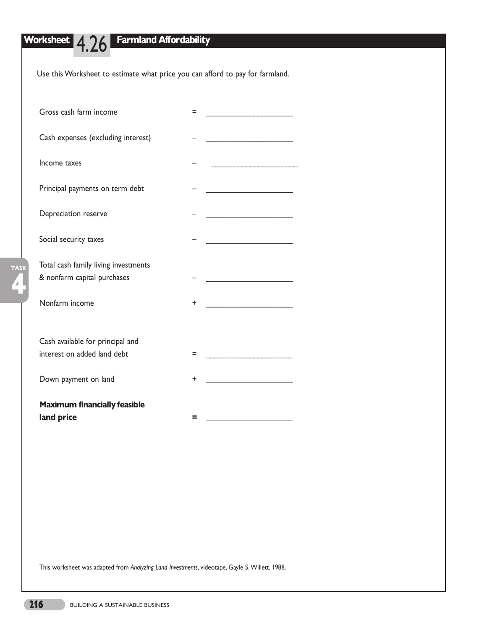**4**

**TASK**

# **Worksheet** 4.26 **Farmland Affordability**

Use this Worksheet to estimate what price you can afford to pay for farmland.

| Gross cash farm income                                              | Ξ                                       |
|---------------------------------------------------------------------|-----------------------------------------|
| Cash expenses (excluding interest)                                  |                                         |
| Income taxes                                                        |                                         |
| Principal payments on term debt                                     |                                         |
| Depreciation reserve                                                |                                         |
| Social security taxes                                               |                                         |
| Total cash family living investments<br>& nonfarm capital purchases | <u> 1980 - Johann Barbara, martxa a</u> |
| Nonfarm income                                                      | +                                       |
| Cash available for principal and<br>interest on added land debt     | Ξ                                       |
| Down payment on land                                                | +                                       |
| <b>Maximum financially feasible</b><br>land price                   | =                                       |

This worksheet was adapted from *Analyzing Land Investments*, videotape, Gayle S. Willett, 1988.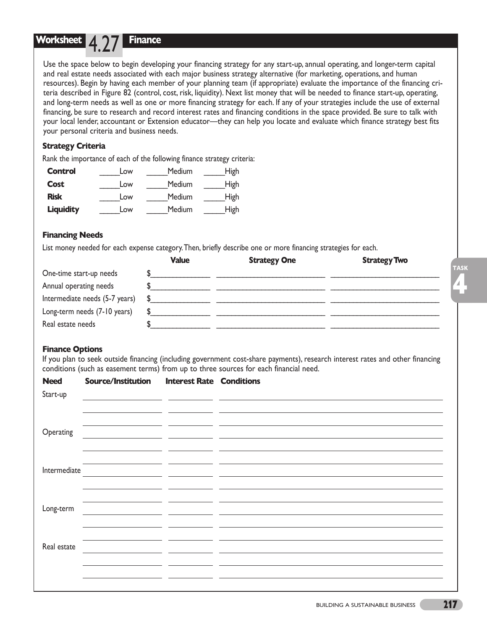## **Worksheet** 4.27 **Finance**

Use the space below to begin developing your financing strategy for any start-up, annual operating, and longer-term capital and real estate needs associated with each major business strategy alternative (for marketing, operations, and human resources). Begin by having each member of your planning team (if appropriate) evaluate the importance of the financing criteria described in Figure 82 (control, cost, risk, liquidity). Next list money that will be needed to finance start-up, operating, and long-term needs as well as one or more financing strategy for each. If any of your strategies include the use of external financing, be sure to research and record interest rates and financing conditions in the space provided. Be sure to talk with your local lender, accountant or Extension educator—they can help you locate and evaluate which finance strategy best fits your personal criteria and business needs.

## **Strategy Criteria**

Rank the importance of each of the following finance strategy criteria:

| <b>Control</b>   | Low | Medium        | <b>High</b> |
|------------------|-----|---------------|-------------|
| <b>Cost</b>      | Low | <b>Medium</b> | <b>High</b> |
| <b>Risk</b>      | Low | <b>Medium</b> | <b>High</b> |
| <b>Liquidity</b> | Low | <b>Medium</b> | <b>High</b> |

## **Financing Needs**

List money needed for each expense category.Then, briefly describe one or more financing strategies for each.

|                                             | <b>Value</b> | <b>Strategy One</b> | <b>Strategy Two</b> |
|---------------------------------------------|--------------|---------------------|---------------------|
| One-time start-up needs                     |              |                     |                     |
| Annual operating needs                      |              |                     |                     |
| Intermediate needs $(5-7 \text{ years})$ \$ |              |                     |                     |
| Long-term needs (7-10 years)                |              |                     |                     |
| Real estate needs                           |              |                     |                     |

## **Finance Options**

If you plan to seek outside financing (including government cost-share payments), research interest rates and other financing conditions (such as easement terms) from up to three sources for each financial need.

| <b>Need</b>  | Source/Institution                                                                                                    | <b>Interest Rate Conditions</b>                                                                                        |                                                                                                                        |
|--------------|-----------------------------------------------------------------------------------------------------------------------|------------------------------------------------------------------------------------------------------------------------|------------------------------------------------------------------------------------------------------------------------|
| Start-up     |                                                                                                                       |                                                                                                                        | <u> 1989 - Andrea Santa Alemania, poeta esperanto-se esperanto-se esperanto-se esperanto-se esperanto-se esperan</u>   |
|              |                                                                                                                       |                                                                                                                        |                                                                                                                        |
|              | <u> 1989 - Johann Harry Harry Harry Harry Harry Harry Harry Harry Harry Harry Harry Harry Harry Harry Harry Harry</u> |                                                                                                                        |                                                                                                                        |
| Operating    |                                                                                                                       |                                                                                                                        | <u> 1989 - Andrea Andrea Andrea Andrea Andrea Andrea Andrea Andrea Andrea Andrea Andrea Andrea Andrea Andrea Andr</u>  |
|              |                                                                                                                       |                                                                                                                        |                                                                                                                        |
|              |                                                                                                                       | the contract of the contract of the contract of the contract of the contract of                                        |                                                                                                                        |
| Intermediate |                                                                                                                       |                                                                                                                        | <u> 1989 - Andrea Santa Andrea Andrea Andrea Andrea Andrea Andrea Andrea Andrea Andrea Andrea Andrea Andrea Andr</u>   |
|              |                                                                                                                       | __ _                                                                                                                   |                                                                                                                        |
| Long-term    |                                                                                                                       | <u> 1980 - Antonio Alemania, politikar esperantor esperantor esperantor esperantor esperantor esperantor esperanto</u> |                                                                                                                        |
|              | <u> 1990 - Jan James James, politik eta politik eta politikaria (h. 1908).</u>                                        |                                                                                                                        |                                                                                                                        |
|              |                                                                                                                       |                                                                                                                        |                                                                                                                        |
| Real estate  | <u> 1989 - Johann Barn, mars ann an t-Amhain an t-Amhain an t-Amhain an t-Amhain an t-Amhain an t-Amhain an t-Amh</u> |                                                                                                                        |                                                                                                                        |
|              |                                                                                                                       |                                                                                                                        | <u> 1990 - Johann Johann Harry Harry Harry Harry Harry Harry Harry Harry Harry Harry Harry Harry Harry Harry Harry</u> |
|              |                                                                                                                       |                                                                                                                        |                                                                                                                        |
|              |                                                                                                                       |                                                                                                                        |                                                                                                                        |

**4**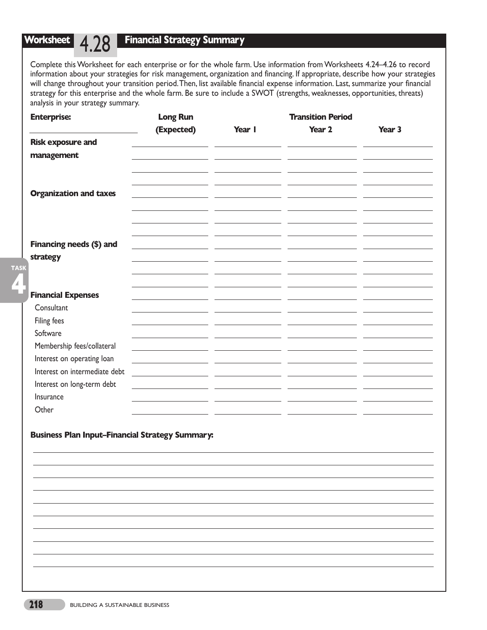## **Worksheet** |  $\angle$

## **Financial Strategy Summary**

Complete this Worksheet for each enterprise or for the whole farm. Use information from Worksheets 4.24–4.26 to record information about your strategies for risk management, organization and financing. If appropriate, describe how your strategies will change throughout your transition period.Then, list available financial expense information. Last, summarize your financial strategy for this enterprise and the whole farm. Be sure to include a SWOT (strengths, weaknesses, opportunities, threats) analysis in your strategy summary.

| <b>Enterprise:</b>            | <b>Long Run</b>                                                                                     |        | <b>Transition Period</b> |        |
|-------------------------------|-----------------------------------------------------------------------------------------------------|--------|--------------------------|--------|
|                               | (Expected)                                                                                          | Year I | Year 2                   | Year 3 |
| <b>Risk exposure and</b>      |                                                                                                     |        |                          |        |
| management                    |                                                                                                     |        |                          |        |
| <b>Organization and taxes</b> |                                                                                                     |        |                          |        |
|                               |                                                                                                     |        |                          |        |
| Financing needs (\$) and      |                                                                                                     |        |                          |        |
| strategy                      |                                                                                                     |        |                          |        |
|                               |                                                                                                     |        |                          |        |
|                               |                                                                                                     |        |                          |        |
| <b>Financial Expenses</b>     |                                                                                                     |        |                          |        |
| Consultant                    |                                                                                                     |        |                          |        |
| Filing fees                   |                                                                                                     |        |                          |        |
| Software                      |                                                                                                     |        |                          |        |
| Membership fees/collateral    |                                                                                                     |        |                          |        |
| Interest on operating loan    | the contract of the contract of the contract of the contract of the contract of the contract of the |        | - 1                      |        |
| Interest on intermediate debt | <u> 1980 - Jan Barbara Barbara, política estableci</u>                                              |        |                          |        |
| Interest on long-term debt    |                                                                                                     |        |                          |        |
| Insurance                     |                                                                                                     |        |                          |        |
| Other                         |                                                                                                     |        |                          |        |

## **Business Plan Input–Financial Strategy Summary:**

**4**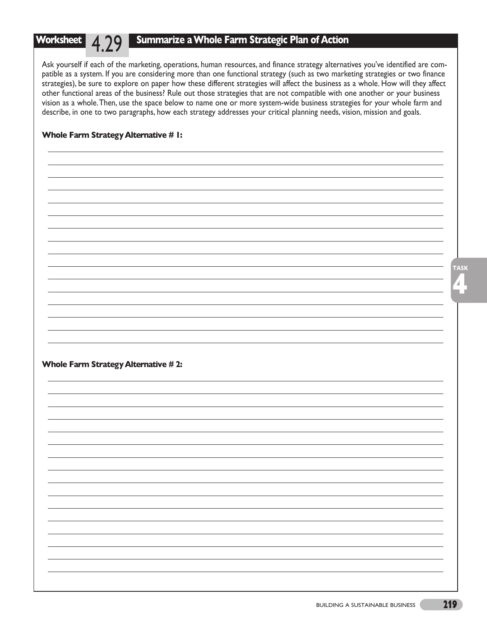## **Summarize a Whole Farm Strategic Plan of Action**

Ask yourself if each of the marketing, operations, human resources, and finance strategy alternatives you've identified are compatible as a system. If you are considering more than one functional strategy (such as two marketing strategies or two finance strategies), be sure to explore on paper how these different strategies will affect the business as a whole. How will they affect other functional areas of the business? Rule out those strategies that are not compatible with one another or your business vision as a whole.Then, use the space below to name one or more system-wide business strategies for your whole farm and describe, in one to two paragraphs, how each strategy addresses your critical planning needs, vision, mission and goals.

## **Whole Farm Strategy Alternative # 1:**

**Worksheet** 7.

**Whole Farm Strategy Alternative # 2:**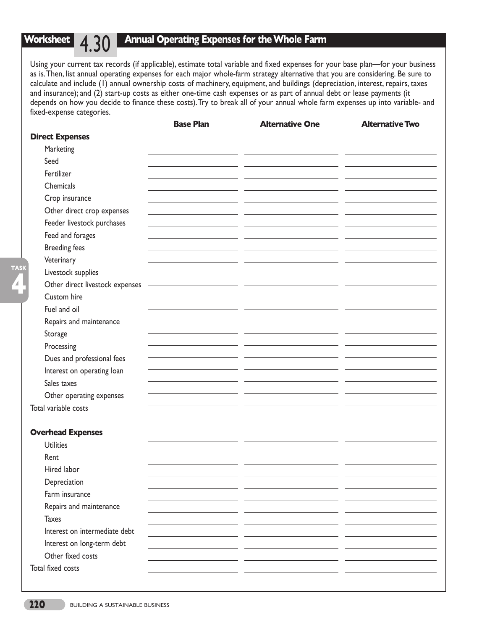#### **Worksheet** 4.30 **Annual Operating Expenses for the Whole Farm**

Using your current tax records (if applicable), estimate total variable and fixed expenses for your base plan—for your business as is.Then, list annual operating expenses for each major whole-farm strategy alternative that you are considering. Be sure to calculate and include (1) annual ownership costs of machinery, equipment, and buildings (depreciation, interest, repairs, taxes and insurance); and (2) start-up costs as either one-time cash expenses or as part of annual debt or lease payments (it depends on how you decide to finance these costs).Try to break all of your annual whole farm expenses up into variable- and fixed-expense categories.

|                                 | <b>Base Plan</b> | <b>Alternative One</b> | <b>Alternative Two</b> |
|---------------------------------|------------------|------------------------|------------------------|
| <b>Direct Expenses</b>          |                  |                        |                        |
| Marketing                       |                  |                        |                        |
| Seed                            |                  |                        |                        |
| Fertilizer                      |                  |                        |                        |
| Chemicals                       |                  |                        |                        |
| Crop insurance                  |                  |                        |                        |
| Other direct crop expenses      |                  |                        |                        |
| Feeder livestock purchases      |                  |                        |                        |
| Feed and forages                |                  |                        |                        |
| <b>Breeding fees</b>            |                  |                        |                        |
| Veterinary                      |                  |                        |                        |
| Livestock supplies              |                  |                        |                        |
| Other direct livestock expenses |                  |                        |                        |
| Custom hire                     |                  |                        |                        |
| Fuel and oil                    |                  |                        |                        |
| Repairs and maintenance         |                  |                        |                        |
| Storage                         |                  |                        |                        |
| Processing                      |                  |                        |                        |
| Dues and professional fees      |                  |                        |                        |
| Interest on operating loan      |                  |                        |                        |
| Sales taxes                     |                  |                        |                        |
| Other operating expenses        |                  |                        |                        |
| Total variable costs            |                  |                        |                        |
|                                 |                  |                        |                        |
| <b>Overhead Expenses</b>        |                  |                        |                        |
| <b>Utilities</b>                |                  |                        |                        |
| Rent                            |                  |                        |                        |
| Hired labor                     |                  |                        |                        |
| Depreciation                    |                  |                        |                        |
| Farm insurance                  |                  |                        |                        |
| Repairs and maintenance         |                  |                        |                        |
| <b>Taxes</b>                    |                  |                        |                        |
| Interest on intermediate debt   |                  |                        |                        |
| Interest on long-term debt      |                  |                        |                        |
| Other fixed costs               |                  |                        |                        |
| Total fixed costs               |                  |                        |                        |
|                                 |                  |                        |                        |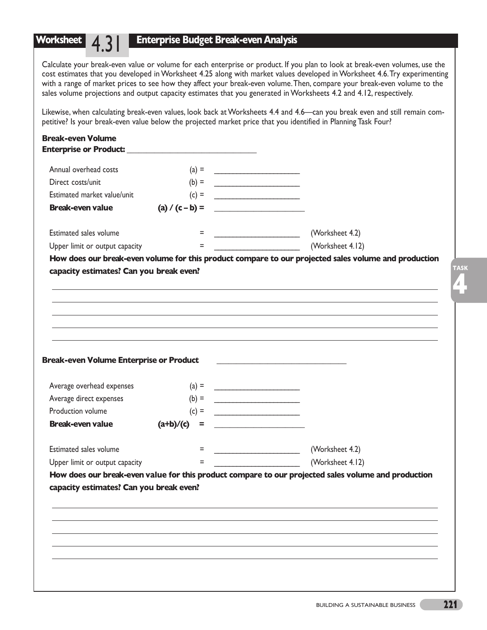## **Enterprise Budget Break-even Analysis**

**Worksheet** 4.3

Calculate your break-even value or volume for each enterprise or product. If you plan to look at break-even volumes, use the cost estimates that you developed in Worksheet 4.25 along with market values developed in Worksheet 4.6.Try experimenting with a range of market prices to see how they affect your break-even volume.Then, compare your break-even volume to the sales volume projections and output capacity estimates that you generated in Worksheets 4.2 and 4.12, respectively.

Likewise, when calculating break-even values, look back at Worksheets 4.4 and 4.6—can you break even and still remain competitive? Is your break-even value below the projected market price that you identified in Planning Task Four?

| Annual overhead costs                                                                                    | $(a) =$                                                                  |                                                                                                                         |
|----------------------------------------------------------------------------------------------------------|--------------------------------------------------------------------------|-------------------------------------------------------------------------------------------------------------------------|
| Direct costs/unit                                                                                        | $(b) =$                                                                  |                                                                                                                         |
| Estimated market value/unit                                                                              | $\begin{array}{c}\n\text{(c)} = \quad \text{---} \\ \hline\n\end{array}$ |                                                                                                                         |
| <b>Break-even value</b>                                                                                  | (a) / (c – b) =                                                          |                                                                                                                         |
| Estimated sales volume                                                                                   | $=$                                                                      | (Worksheet 4.2)                                                                                                         |
| Upper limit or output capacity                                                                           | $=$                                                                      | (Worksheet 4.12)                                                                                                        |
|                                                                                                          |                                                                          |                                                                                                                         |
| <b>Break-even Volume Enterprise or Product</b><br>Average overhead expenses                              | $(a) =$                                                                  |                                                                                                                         |
| Average direct expenses                                                                                  | $(b) =$                                                                  |                                                                                                                         |
|                                                                                                          |                                                                          |                                                                                                                         |
|                                                                                                          |                                                                          |                                                                                                                         |
|                                                                                                          | $(c) =$<br>$(a+b)/(c) =$                                                 | <u> 1980 - Johann Barbara, martxa alemaniar a</u>                                                                       |
|                                                                                                          | $=$                                                                      | (Worksheet 4.2)                                                                                                         |
| Production volume<br><b>Break-even value</b><br>Estimated sales volume<br>Upper limit or output capacity | $=$                                                                      | (Worksheet 4.12)<br>How does our break-even value for this product compare to our projected sales volume and production |

**4**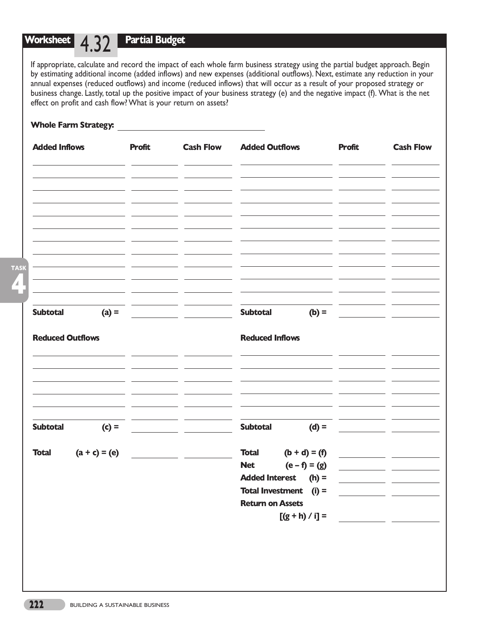**Partial Budget**

If appropriate, calculate and record the impact of each whole farm business strategy using the partial budget approach. Begin by estimating additional income (added inflows) and new expenses (additional outflows). Next, estimate any reduction in your annual expenses (reduced outflows) and income (reduced inflows) that will occur as a result of your proposed strategy or business change. Lastly, total up the positive impact of your business strategy (e) and the negative impact (f). What is the net effect on profit and cash flow? What is your return on assets?

### **Whole Farm Strategy:**

| <b>Added Inflows</b>       | <b>Profit</b> | <b>Cash Flow</b>                            | <b>Added Outflows</b>                        | <b>Profit</b> | <b>Cash Flow</b>                                                             |
|----------------------------|---------------|---------------------------------------------|----------------------------------------------|---------------|------------------------------------------------------------------------------|
|                            |               |                                             |                                              |               |                                                                              |
|                            |               |                                             |                                              |               |                                                                              |
|                            |               |                                             |                                              |               |                                                                              |
|                            |               |                                             |                                              |               |                                                                              |
|                            |               | <u> 1989 - Johann Stone, mars et al. 19</u> |                                              |               |                                                                              |
| <b>Subtotal</b>            |               |                                             | <b>Subtotal</b>                              |               |                                                                              |
| <b>Reduced Outflows</b>    |               |                                             | <b>Reduced Inflows</b>                       |               |                                                                              |
|                            |               |                                             |                                              |               |                                                                              |
|                            |               |                                             |                                              |               |                                                                              |
| <b>Subtotal</b><br>$(c) =$ |               |                                             | <b>Subtotal</b><br>$(d) =$                   |               |                                                                              |
| <b>Total</b>               |               | $(a + c) = (e)$                             | <b>Total</b><br>$(b + d) = (f)$              |               |                                                                              |
|                            |               |                                             | $(e - f) = (g)$<br><b>Net</b>                |               |                                                                              |
|                            |               |                                             | <b>Added Interest</b><br>$(h) =$             |               |                                                                              |
|                            |               |                                             | <b>Total Investment</b> (i) =                |               | <u> 1999 - Johann John Stone, mars eta bainar eta politikaria (h. 1989).</u> |
|                            |               |                                             | <b>Return on Assets</b><br>$[(g + h) / i] =$ |               |                                                                              |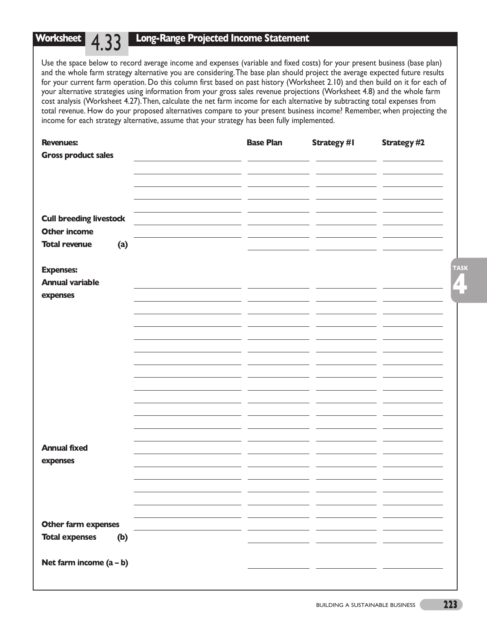## **Long-Range Projected Income Statement**

Use the space below to record average income and expenses (variable and fixed costs) for your present business (base plan) and the whole farm strategy alternative you are considering.The base plan should project the average expected future results for your current farm operation. Do this column first based on past history (Worksheet 2.10) and then build on it for each of your alternative strategies using information from your gross sales revenue projections (Worksheet 4.8) and the whole farm cost analysis (Worksheet 4.27).Then, calculate the net farm income for each alternative by subtracting total expenses from total revenue. How do your proposed alternatives compare to your present business income? Remember, when projecting the income for each strategy alternative, assume that your strategy has been fully implemented.

| <b>Revenues:</b>                            | <b>Base Plan</b> | <b>Strategy #1</b> | <b>Strategy #2</b> |
|---------------------------------------------|------------------|--------------------|--------------------|
| <b>Gross product sales</b>                  |                  |                    |                    |
|                                             |                  |                    |                    |
|                                             |                  |                    |                    |
|                                             |                  |                    |                    |
| <b>Cull breeding livestock</b>              |                  |                    |                    |
| <b>Other income</b><br><b>Total revenue</b> |                  |                    |                    |
| (a)                                         |                  |                    |                    |
| <b>Expenses:</b>                            |                  |                    | <b>TASK</b>        |
| <b>Annual variable</b>                      |                  |                    | $\mathbf{Z}$ .     |
| expenses                                    |                  |                    |                    |
|                                             |                  |                    |                    |
|                                             |                  |                    |                    |
|                                             |                  |                    |                    |
|                                             |                  |                    |                    |
|                                             |                  |                    |                    |
|                                             |                  |                    |                    |
|                                             |                  |                    |                    |
|                                             |                  |                    |                    |
|                                             |                  |                    |                    |
|                                             |                  |                    |                    |
| <b>Annual fixed</b>                         |                  |                    |                    |
| expenses                                    |                  |                    |                    |
|                                             |                  |                    |                    |
|                                             |                  |                    |                    |
|                                             |                  |                    |                    |
| Other farm expenses                         |                  |                    |                    |
| <b>Total expenses</b><br>(b)                |                  |                    |                    |
|                                             |                  |                    |                    |
| Net farm income $(a - b)$                   |                  |                    |                    |
|                                             |                  |                    |                    |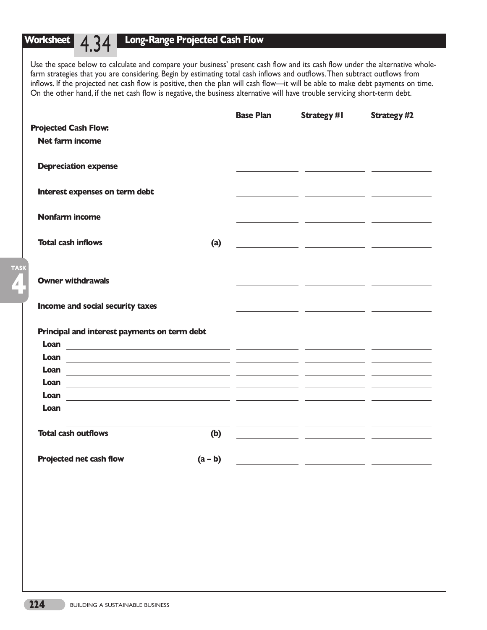**4**

**TASK**

## **Long-Range Projected Cash Flow**

Use the space below to calculate and compare your business' present cash flow and its cash flow under the alternative wholefarm strategies that you are considering. Begin by estimating total cash inflows and outflows.Then subtract outflows from inflows. If the projected net cash flow is positive, then the plan will cash flow—it will be able to make debt payments on time. On the other hand, if the net cash flow is negative, the business alternative will have trouble servicing short-term debt.

|                                                                                                                                                                                                                                              |           | <b>Base Plan</b> | <b>Strategy #1</b>                                                                                                                                                                                                                            | <b>Strategy #2</b> |
|----------------------------------------------------------------------------------------------------------------------------------------------------------------------------------------------------------------------------------------------|-----------|------------------|-----------------------------------------------------------------------------------------------------------------------------------------------------------------------------------------------------------------------------------------------|--------------------|
| <b>Projected Cash Flow:</b>                                                                                                                                                                                                                  |           |                  |                                                                                                                                                                                                                                               |                    |
| <b>Net farm income</b>                                                                                                                                                                                                                       |           |                  |                                                                                                                                                                                                                                               |                    |
| <b>Depreciation expense</b>                                                                                                                                                                                                                  |           |                  |                                                                                                                                                                                                                                               |                    |
| Interest expenses on term debt                                                                                                                                                                                                               |           |                  |                                                                                                                                                                                                                                               | <u>and</u> and     |
| <b>Nonfarm income</b>                                                                                                                                                                                                                        |           |                  | <u> 1989 - Jan Barnett, fransk politiker (d. 19</u>                                                                                                                                                                                           |                    |
| <b>Total cash inflows</b>                                                                                                                                                                                                                    | (a)       |                  | <u> 1989 - Johann John Stone, markin film yn y system yn y system yn y system yn y system yn y system yn y system</u>                                                                                                                         |                    |
| <b>Owner withdrawals</b>                                                                                                                                                                                                                     |           |                  |                                                                                                                                                                                                                                               |                    |
| Income and social security taxes                                                                                                                                                                                                             |           |                  |                                                                                                                                                                                                                                               |                    |
| Principal and interest payments on term debt                                                                                                                                                                                                 |           |                  |                                                                                                                                                                                                                                               |                    |
| Loan<br><u> 1989 - Andrea Stadt Britain, amerikan bestean ing disebut bestean ing disebut bestean ing disebut bestean ing</u>                                                                                                                |           |                  |                                                                                                                                                                                                                                               |                    |
| Loan<br><u> 1989 - Johann Stoff, amerikansk politiker (* 1908)</u>                                                                                                                                                                           |           |                  |                                                                                                                                                                                                                                               |                    |
| Loan<br><u>and the state of the state of the state of the state of the state of the state of the state of the state of the state of the state of the state of the state of the state of the state of the state of the state of the state</u> |           |                  |                                                                                                                                                                                                                                               |                    |
| Loan<br><u> 1990 - Andrea Andrew Alexandro (h. 1980).</u><br>1991 - Andrew Alexander, francuski politik (h. 1902).                                                                                                                           |           |                  |                                                                                                                                                                                                                                               |                    |
| Loan                                                                                                                                                                                                                                         |           |                  |                                                                                                                                                                                                                                               |                    |
| <u> 1989 - Johann Stoff, deutscher Stoff, der Stoff, der Stoff, der Stoff, der Stoff, der Stoff, der Stoff, der S</u><br>Loan<br><u> 1989 - Johann Stoff, amerikansk politiker (* 1908)</u>                                                  |           |                  |                                                                                                                                                                                                                                               |                    |
| <b>Total cash outflows</b>                                                                                                                                                                                                                   | (b)       |                  | <u> 1999 - Johann John Stein, mars et al. (1999), programmatischer Programmatischer Programmatischer Programmatis</u><br><u> 1989 - Johann John Stone, mars eta inperiodo eta inperiodo eta inperiodo eta inperiodo eta inperiodo eta inp</u> |                    |
| <b>Projected net cash flow</b>                                                                                                                                                                                                               | $(a - b)$ |                  |                                                                                                                                                                                                                                               |                    |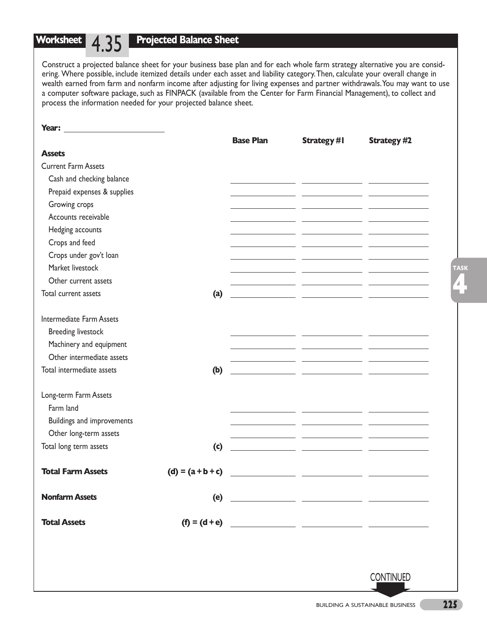## **Projected Balance Sheet**

**Worksheet** 4.35

Construct a projected balance sheet for your business base plan and for each whole farm strategy alternative you are considering. Where possible, include itemized details under each asset and liability category.Then, calculate your overall change in wealth earned from farm and nonfarm income after adjusting for living expenses and partner withdrawals.You may want to use a computer software package, such as FINPACK (available from the Center for Farm Financial Management), to collect and process the information needed for your projected balance sheet.

|                                 |                     | <b>Base Plan</b> | <b>Strategy #I</b>                                                                                                     | <b>Strategy #2</b> |
|---------------------------------|---------------------|------------------|------------------------------------------------------------------------------------------------------------------------|--------------------|
| <b>Assets</b>                   |                     |                  |                                                                                                                        |                    |
| <b>Current Farm Assets</b>      |                     |                  |                                                                                                                        |                    |
| Cash and checking balance       |                     |                  | <u> 1986 - Johann Barbara, martxa amerikan persoaan persoaan persoaan persoaan persoaan persoaan persoaan persoaa</u>  |                    |
| Prepaid expenses & supplies     |                     |                  | <u> 1989 - Johann Marie Barn, mars eta inperiodo</u>                                                                   |                    |
| Growing crops                   |                     |                  | <u> 1989 - Johann John Stone, markin film yn y sydd y gweledd y ganleithiau yn y gweledd y ganleithiau yn y gweled</u> |                    |
| Accounts receivable             |                     |                  |                                                                                                                        |                    |
| Hedging accounts                |                     |                  |                                                                                                                        |                    |
| Crops and feed                  |                     |                  |                                                                                                                        |                    |
| Crops under gov't loan          |                     |                  |                                                                                                                        |                    |
| Market livestock                |                     |                  |                                                                                                                        |                    |
| Other current assets            |                     |                  |                                                                                                                        |                    |
| Total current assets            | (a)                 |                  | <u> 1989 - John Harry John Harry Harry Harry Harry Harry Harry Harry Harry Harry Harry Harry Harry Harry Harry Har</u> |                    |
|                                 |                     |                  |                                                                                                                        |                    |
| <b>Intermediate Farm Assets</b> |                     |                  |                                                                                                                        |                    |
| <b>Breeding livestock</b>       |                     |                  |                                                                                                                        |                    |
| Machinery and equipment         |                     |                  |                                                                                                                        |                    |
| Other intermediate assets       |                     |                  |                                                                                                                        |                    |
| Total intermediate assets       | (b)                 |                  | <u> 1989 - John Harry John Harry Harry Harry Harry Harry Harry Harry Harry Harry Harry Harry Harry Harry Harry Har</u> |                    |
|                                 |                     |                  |                                                                                                                        |                    |
| Long-term Farm Assets           |                     |                  |                                                                                                                        |                    |
| Farm land                       |                     |                  |                                                                                                                        |                    |
| Buildings and improvements      |                     |                  |                                                                                                                        |                    |
| Other long-term assets          |                     |                  |                                                                                                                        |                    |
| Total long term assets          | (c)                 |                  |                                                                                                                        |                    |
| <b>Total Farm Assets</b>        | $(d) = (a + b + c)$ |                  |                                                                                                                        |                    |
|                                 |                     |                  |                                                                                                                        |                    |
| <b>Nonfarm Assets</b>           |                     |                  |                                                                                                                        |                    |
| <b>Total Assets</b>             |                     |                  |                                                                                                                        |                    |
|                                 |                     |                  |                                                                                                                        |                    |
|                                 |                     |                  |                                                                                                                        |                    |
|                                 |                     |                  |                                                                                                                        |                    |
|                                 |                     |                  |                                                                                                                        | <b>CONTINUED</b>   |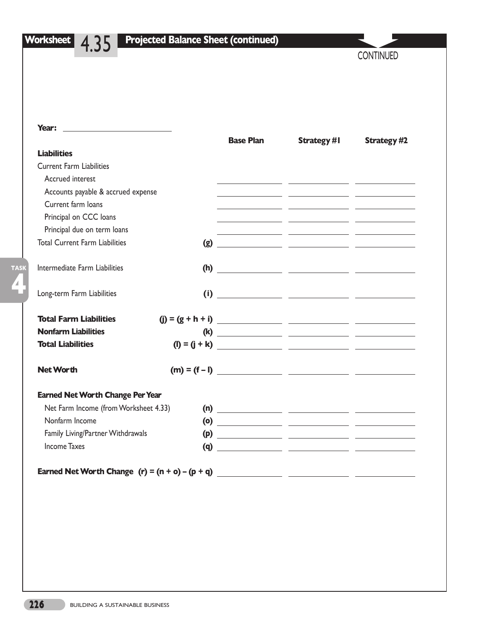| <b>Worksheet</b> |  |
|------------------|--|
|                  |  |

**4**

**TASK**

# **Worksheet** 4.35 **Projected Balance Sheet (continued)**

**CONTINUED** 

| Year:<br>the control of the control of the control of the control of the control of |                  |                                                                                                                       |                    |
|-------------------------------------------------------------------------------------|------------------|-----------------------------------------------------------------------------------------------------------------------|--------------------|
|                                                                                     | <b>Base Plan</b> | <b>Strategy #I</b>                                                                                                    | <b>Strategy #2</b> |
| <b>Liabilities</b>                                                                  |                  |                                                                                                                       |                    |
| <b>Current Farm Liabilities</b>                                                     |                  |                                                                                                                       |                    |
| Accrued interest                                                                    |                  | <u> 1999 - John Stein, mars and de la provincia de la provincia de la provincia de la provincia de la provincia d</u> |                    |
| Accounts payable & accrued expense                                                  |                  |                                                                                                                       |                    |
| Current farm loans                                                                  |                  | <u> 1989 - Johann John Stone, mars et al. (</u>                                                                       |                    |
| Principal on CCC loans                                                              |                  | <u> 1989 - John Stein, Amerikaansk politiker († 1908)</u>                                                             |                    |
| Principal due on term loans                                                         |                  | <u> 1989 - Jan James James James James James James James James James James James James James James James James J</u>  |                    |
| <b>Total Current Farm Liabilities</b>                                               |                  |                                                                                                                       |                    |
| Intermediate Farm Liabilities                                                       |                  |                                                                                                                       |                    |
| Long-term Farm Liabilities                                                          |                  |                                                                                                                       |                    |
| <b>Total Farm Liabilities</b>                                                       |                  |                                                                                                                       |                    |
| <b>Nonfarm Liabilities</b>                                                          |                  |                                                                                                                       |                    |
| <b>Total Liabilities</b>                                                            |                  |                                                                                                                       |                    |
| <b>Net Worth</b>                                                                    |                  | $(m) = (f - 1)$                                                                                                       |                    |
| <b>Earned Net Worth Change Per Year</b>                                             |                  |                                                                                                                       |                    |
| Net Farm Income (from Worksheet 4.33)                                               |                  |                                                                                                                       |                    |
| Nonfarm Income                                                                      |                  |                                                                                                                       |                    |
|                                                                                     |                  |                                                                                                                       |                    |
| Family Living/Partner Withdrawals                                                   |                  |                                                                                                                       |                    |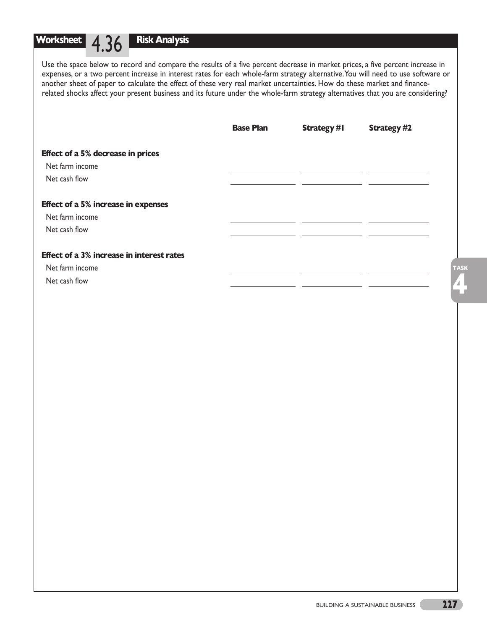**Risk Analysis**

Use the space below to record and compare the results of a five percent decrease in market prices, a five percent increase in expenses, or a two percent increase in interest rates for each whole-farm strategy alternative.You will need to use software or another sheet of paper to calculate the effect of these very real market uncertainties. How do these market and financerelated shocks affect your present business and its future under the whole-farm strategy alternatives that you are considering?

|                                                  | <b>Base Plan</b> | <b>Strategy #I</b> | <b>Strategy #2</b> |
|--------------------------------------------------|------------------|--------------------|--------------------|
| <b>Effect of a 5% decrease in prices</b>         |                  |                    |                    |
| Net farm income                                  |                  |                    |                    |
| Net cash flow                                    |                  |                    |                    |
| <b>Effect of a 5% increase in expenses</b>       |                  |                    |                    |
| Net farm income                                  |                  |                    |                    |
| Net cash flow                                    |                  |                    |                    |
| <b>Effect of a 3% increase in interest rates</b> |                  |                    |                    |
| Net farm income                                  |                  |                    | <b>TASK</b>        |
| Net cash flow                                    |                  |                    |                    |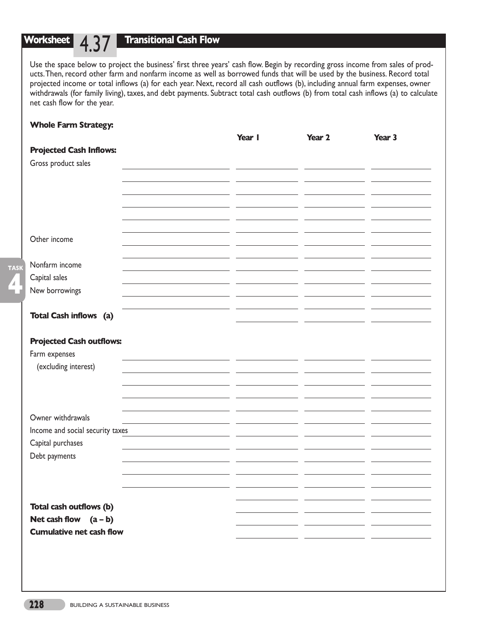## **Transitional Cash Flow**

Use the space below to project the business' first three years' cash flow. Begin by recording gross income from sales of products.Then, record other farm and nonfarm income as well as borrowed funds that will be used by the business. Record total projected income or total inflows (a) for each year. Next, record all cash outflows (b), including annual farm expenses, owner withdrawals (for family living), taxes, and debt payments. Subtract total cash outflows (b) from total cash inflows (a) to calculate net cash flow for the year.

## **Whole Farm Strategy:**

|                                  | Year I | Year 2 | Year 3 |
|----------------------------------|--------|--------|--------|
| <b>Projected Cash Inflows:</b>   |        |        |        |
| Gross product sales              |        |        |        |
|                                  |        |        |        |
|                                  |        |        |        |
|                                  |        |        |        |
|                                  |        |        |        |
|                                  |        |        |        |
| Other income                     |        |        |        |
|                                  |        |        |        |
|                                  |        |        |        |
| Nonfarm income                   |        |        |        |
| Capital sales                    |        |        |        |
| New borrowings                   |        |        |        |
|                                  |        |        |        |
| <b>Total Cash inflows</b> (a)    |        |        |        |
|                                  |        |        |        |
| <b>Projected Cash outflows:</b>  |        |        |        |
| Farm expenses                    |        |        |        |
| (excluding interest)             |        |        |        |
|                                  |        |        |        |
|                                  |        |        |        |
|                                  |        |        |        |
| Owner withdrawals                |        |        |        |
| Income and social security taxes |        |        |        |
| Capital purchases                |        |        |        |
| Debt payments                    |        |        |        |
|                                  |        |        |        |
|                                  |        |        |        |
|                                  |        |        |        |
| Total cash outflows (b)          |        |        |        |
| Net cash flow $(a - b)$          |        |        |        |
|                                  |        |        |        |
| <b>Cumulative net cash flow</b>  |        |        |        |
|                                  |        |        |        |
|                                  |        |        |        |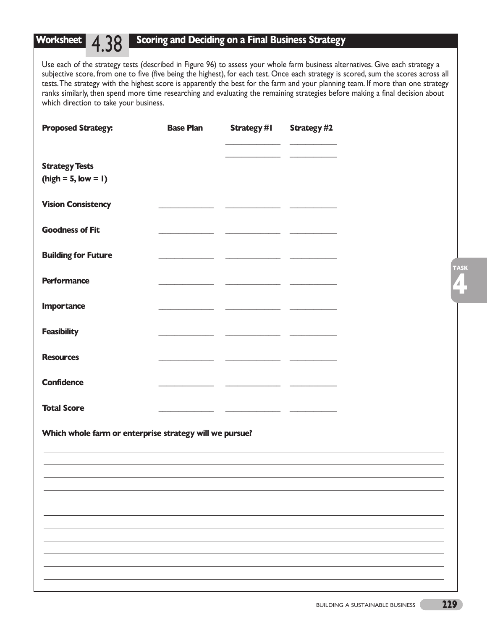## **Scoring and Deciding on a Final Business Strategy**

**Worksheet** 4.38

Use each of the strategy tests (described in Figure 96) to assess your whole farm business alternatives. Give each strategy a subjective score, from one to five (five being the highest), for each test. Once each strategy is scored, sum the scores across all tests.The strategy with the highest score is apparently the best for the farm and your planning team. If more than one strategy ranks similarly, then spend more time researching and evaluating the remaining strategies before making a final decision about which direction to take your business.

| <b>Proposed Strategy:</b>                               | <b>Base Plan</b>         | Strategy #I                                                                                                          | <b>Strategy #2</b> |
|---------------------------------------------------------|--------------------------|----------------------------------------------------------------------------------------------------------------------|--------------------|
|                                                         |                          | $\sim$ $\sim$ $\sim$                                                                                                 |                    |
| <b>Strategy Tests</b><br>$(high = 5, low = 1)$          |                          |                                                                                                                      |                    |
| <b>Vision Consistency</b>                               |                          |                                                                                                                      |                    |
| <b>Goodness of Fit</b>                                  |                          | <u> The Communication of the Communication</u>                                                                       |                    |
| <b>Building for Future</b>                              |                          | <u> 1989 - Johann John Stein, fransk kampens og forskellige og forskellige og forskellige og forskellige og fors</u> |                    |
| <b>Performance</b>                                      |                          |                                                                                                                      |                    |
| <b>Importance</b>                                       | $\overline{\phantom{a}}$ |                                                                                                                      |                    |
| <b>Feasibility</b>                                      |                          | <u> 1989 - Jan James James Sandarík (b. 1989)</u>                                                                    |                    |
| <b>Resources</b>                                        |                          |                                                                                                                      |                    |
| <b>Confidence</b>                                       |                          |                                                                                                                      |                    |
| <b>Total Score</b>                                      | $\sim$ $\sim$            |                                                                                                                      |                    |
| Which whole farm or enterprise strategy will we pursue? |                          |                                                                                                                      |                    |
|                                                         |                          |                                                                                                                      |                    |
|                                                         |                          |                                                                                                                      |                    |
|                                                         |                          |                                                                                                                      |                    |
|                                                         |                          |                                                                                                                      |                    |
|                                                         |                          |                                                                                                                      |                    |
|                                                         |                          |                                                                                                                      |                    |
|                                                         |                          |                                                                                                                      |                    |
|                                                         |                          |                                                                                                                      |                    |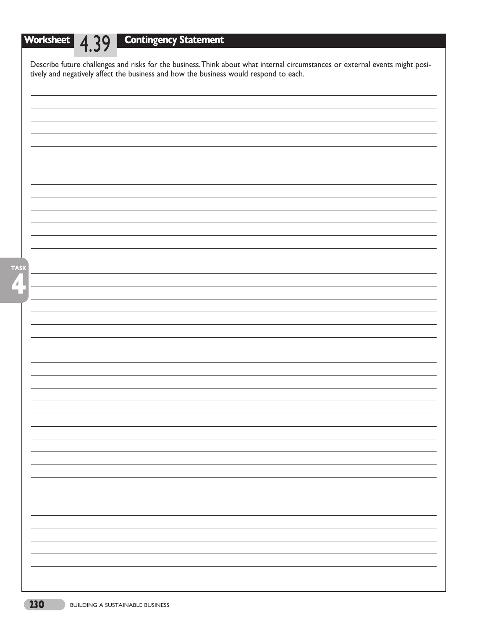# **Worksheet** 4.39 **Contingency Statement**

| Describe future challenges and risks for the business. Think about what internal circumstances or external events might positively and negatively affect the business and how the business would respond to each. |
|-------------------------------------------------------------------------------------------------------------------------------------------------------------------------------------------------------------------|
|                                                                                                                                                                                                                   |
|                                                                                                                                                                                                                   |
|                                                                                                                                                                                                                   |
|                                                                                                                                                                                                                   |
|                                                                                                                                                                                                                   |
|                                                                                                                                                                                                                   |
|                                                                                                                                                                                                                   |
|                                                                                                                                                                                                                   |
|                                                                                                                                                                                                                   |
|                                                                                                                                                                                                                   |
|                                                                                                                                                                                                                   |
|                                                                                                                                                                                                                   |
|                                                                                                                                                                                                                   |
|                                                                                                                                                                                                                   |
|                                                                                                                                                                                                                   |
|                                                                                                                                                                                                                   |
|                                                                                                                                                                                                                   |
|                                                                                                                                                                                                                   |
|                                                                                                                                                                                                                   |
|                                                                                                                                                                                                                   |
|                                                                                                                                                                                                                   |
|                                                                                                                                                                                                                   |
|                                                                                                                                                                                                                   |
|                                                                                                                                                                                                                   |
|                                                                                                                                                                                                                   |
|                                                                                                                                                                                                                   |
|                                                                                                                                                                                                                   |
|                                                                                                                                                                                                                   |
|                                                                                                                                                                                                                   |
|                                                                                                                                                                                                                   |
|                                                                                                                                                                                                                   |
|                                                                                                                                                                                                                   |
|                                                                                                                                                                                                                   |
|                                                                                                                                                                                                                   |
|                                                                                                                                                                                                                   |
|                                                                                                                                                                                                                   |
|                                                                                                                                                                                                                   |
|                                                                                                                                                                                                                   |
|                                                                                                                                                                                                                   |